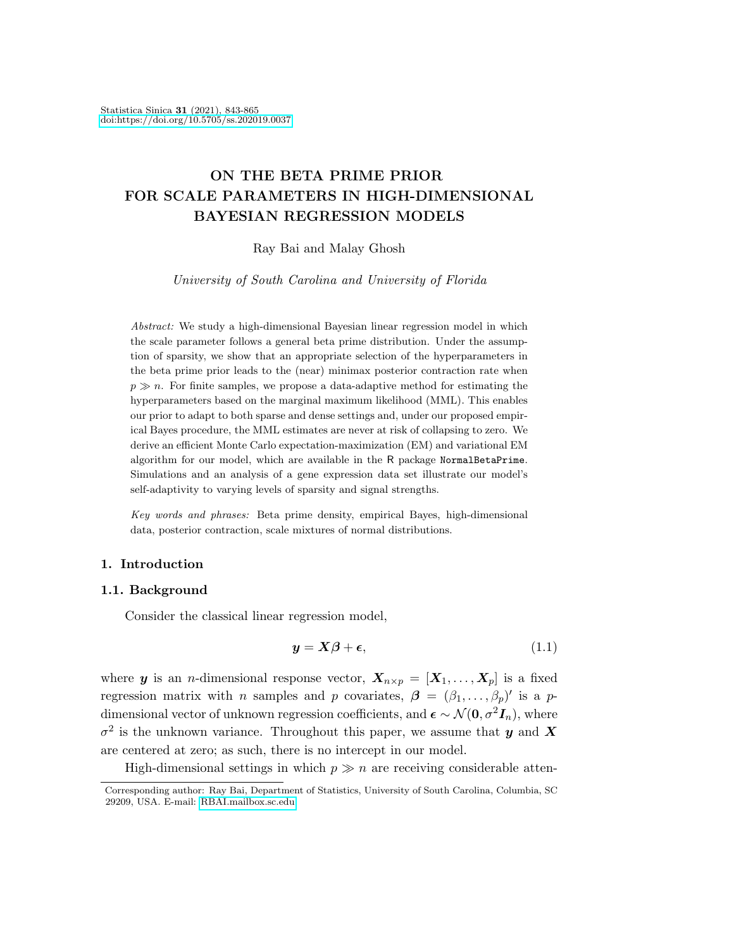# ON THE BETA PRIME PRIOR FOR SCALE PARAMETERS IN HIGH-DIMENSIONAL BAYESIAN REGRESSION MODELS

Ray Bai and Malay Ghosh

University of South Carolina and University of Florida

Abstract: We study a high-dimensional Bayesian linear regression model in which the scale parameter follows a general beta prime distribution. Under the assumption of sparsity, we show that an appropriate selection of the hyperparameters in the beta prime prior leads to the (near) minimax posterior contraction rate when  $p \gg n$ . For finite samples, we propose a data-adaptive method for estimating the hyperparameters based on the marginal maximum likelihood (MML). This enables our prior to adapt to both sparse and dense settings and, under our proposed empirical Bayes procedure, the MML estimates are never at risk of collapsing to zero. We derive an efficient Monte Carlo expectation-maximization (EM) and variational EM algorithm for our model, which are available in the R package NormalBetaPrime. Simulations and an analysis of a gene expression data set illustrate our model's self-adaptivity to varying levels of sparsity and signal strengths.

Key words and phrases: Beta prime density, empirical Bayes, high-dimensional data, posterior contraction, scale mixtures of normal distributions.

# 1. Introduction

# 1.1. Background

Consider the classical linear regression model,

<span id="page-0-0"></span>
$$
y = X\beta + \epsilon,\tag{1.1}
$$

where y is an *n*-dimensional response vector,  $X_{n\times p} = [X_1, \ldots, X_p]$  is a fixed regression matrix with *n* samples and *p* covariates,  $\boldsymbol{\beta} = (\beta_1, \dots, \beta_p)'$  is a *p*dimensional vector of unknown regression coefficients, and  $\epsilon \sim \mathcal{N}(0, \sigma^2 \mathbf{I}_n)$ , where  $\sigma^2$  is the unknown variance. Throughout this paper, we assume that y and X are centered at zero; as such, there is no intercept in our model.

High-dimensional settings in which  $p \gg n$  are receiving considerable atten-

Corresponding author: Ray Bai, Department of Statistics, University of South Carolina, Columbia, SC 29209, USA. E-mail: [RBAI.mailbox.sc.edu.](mailtos:RBAI.mailbox.sc.edu)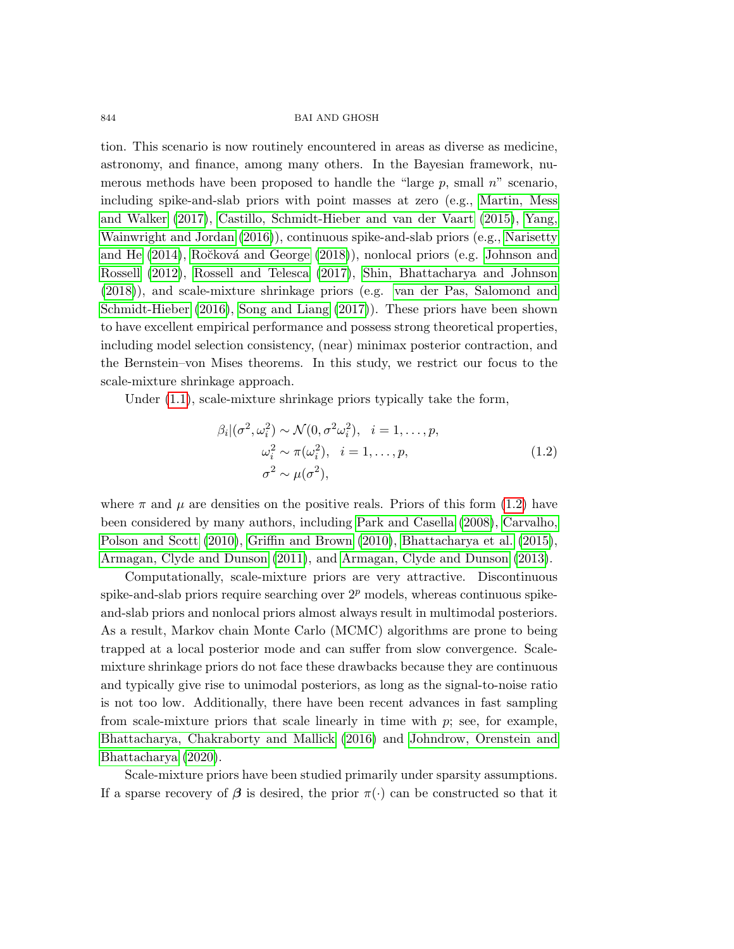tion. This scenario is now routinely encountered in areas as diverse as medicine, astronomy, and finance, among many others. In the Bayesian framework, numerous methods have been proposed to handle the "large  $p$ , small  $n$ " scenario, including spike-and-slab priors with point masses at zero (e.g., [Martin, Mess](#page-20-0) [and Walker \(2017\)](#page-20-0), [Castillo, Schmidt-Hieber and van der Vaart \(2015\)](#page-20-1), [Yang,](#page-21-0) [Wainwright and Jordan \(2016\)](#page-21-0)), continuous spike-and-slab priors (e.g., [Narisetty](#page-20-2) [and He \(2014\)](#page-20-2), Ročková and George (2018)), nonlocal priors (e.g. [Johnson and](#page-20-3) [Rossell \(2012\)](#page-20-3), [Rossell and Telesca \(2017\)](#page-21-2), [Shin, Bhattacharya and Johnson](#page-21-3) [\(2018\)](#page-21-3)), and scale-mixture shrinkage priors (e.g. [van der Pas, Salomond and](#page-21-4) [Schmidt-Hieber \(2016\)](#page-21-4), [Song and Liang \(2017\)](#page-21-5)). These priors have been shown to have excellent empirical performance and possess strong theoretical properties, including model selection consistency, (near) minimax posterior contraction, and the Bernstein–von Mises theorems. In this study, we restrict our focus to the scale-mixture shrinkage approach.

Under  $(1.1)$ , scale-mixture shrinkage priors typically take the form,

<span id="page-1-0"></span>
$$
\beta_i | (\sigma^2, \omega_i^2) \sim \mathcal{N}(0, \sigma^2 \omega_i^2), \quad i = 1, \dots, p,
$$
  
\n
$$
\omega_i^2 \sim \pi(\omega_i^2), \quad i = 1, \dots, p,
$$
  
\n
$$
\sigma^2 \sim \mu(\sigma^2),
$$
\n(1.2)

where  $\pi$  and  $\mu$  are densities on the positive reals. Priors of this form [\(1.2\)](#page-1-0) have been considered by many authors, including [Park and Casella \(2008\)](#page-20-4), [Carvalho,](#page-20-5) [Polson and Scott \(2010\)](#page-20-5), [Griffin and Brown \(2010\)](#page-20-6), [Bhattacharya et al. \(2015\)](#page-20-7), [Armagan, Clyde and Dunson \(2011\)](#page-19-0), and [Armagan, Clyde and Dunson \(2013\)](#page-19-1).

Computationally, scale-mixture priors are very attractive. Discontinuous spike-and-slab priors require searching over  $2^p$  models, whereas continuous spikeand-slab priors and nonlocal priors almost always result in multimodal posteriors. As a result, Markov chain Monte Carlo (MCMC) algorithms are prone to being trapped at a local posterior mode and can suffer from slow convergence. Scalemixture shrinkage priors do not face these drawbacks because they are continuous and typically give rise to unimodal posteriors, as long as the signal-to-noise ratio is not too low. Additionally, there have been recent advances in fast sampling from scale-mixture priors that scale linearly in time with  $p$ ; see, for example, [Bhattacharya, Chakraborty and Mallick \(2016\)](#page-19-2) and [Johndrow, Orenstein and](#page-20-8) [Bhattacharya \(2020\)](#page-20-8).

Scale-mixture priors have been studied primarily under sparsity assumptions. If a sparse recovery of  $\beta$  is desired, the prior  $\pi(\cdot)$  can be constructed so that it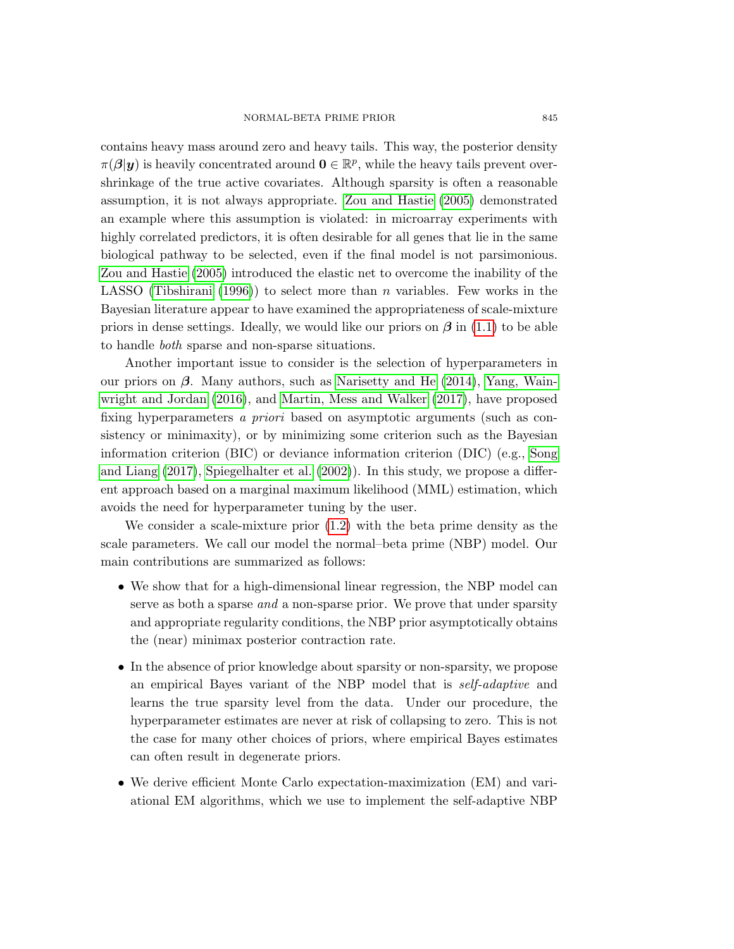contains heavy mass around zero and heavy tails. This way, the posterior density  $\pi(\beta|\mathbf{y})$  is heavily concentrated around  $\mathbf{0} \in \mathbb{R}^p$ , while the heavy tails prevent overshrinkage of the true active covariates. Although sparsity is often a reasonable assumption, it is not always appropriate. [Zou and Hastie \(2005\)](#page-21-6) demonstrated an example where this assumption is violated: in microarray experiments with highly correlated predictors, it is often desirable for all genes that lie in the same biological pathway to be selected, even if the final model is not parsimonious. [Zou and Hastie \(2005\)](#page-21-6) introduced the elastic net to overcome the inability of the LASSO [\(Tibshirani \(1996\)](#page-21-7)) to select more than n variables. Few works in the Bayesian literature appear to have examined the appropriateness of scale-mixture priors in dense settings. Ideally, we would like our priors on  $\beta$  in [\(1.1\)](#page-0-0) to be able to handle both sparse and non-sparse situations.

Another important issue to consider is the selection of hyperparameters in our priors on  $\beta$ . Many authors, such as [Narisetty and He \(2014\)](#page-20-2), [Yang, Wain](#page-21-0)[wright and Jordan \(2016\)](#page-21-0), and [Martin, Mess and Walker \(2017\)](#page-20-0), have proposed fixing hyperparameters a priori based on asymptotic arguments (such as consistency or minimaxity), or by minimizing some criterion such as the Bayesian information criterion (BIC) or deviance information criterion (DIC) (e.g., [Song](#page-21-5) [and Liang \(2017\)](#page-21-5), [Spiegelhalter et al. \(2002\)](#page-21-8)). In this study, we propose a different approach based on a marginal maximum likelihood (MML) estimation, which avoids the need for hyperparameter tuning by the user.

We consider a scale-mixture prior [\(1.2\)](#page-1-0) with the beta prime density as the scale parameters. We call our model the normal–beta prime (NBP) model. Our main contributions are summarized as follows:

- We show that for a high-dimensional linear regression, the NBP model can serve as both a sparse *and* a non-sparse prior. We prove that under sparsity and appropriate regularity conditions, the NBP prior asymptotically obtains the (near) minimax posterior contraction rate.
- In the absence of prior knowledge about sparsity or non-sparsity, we propose an empirical Bayes variant of the NBP model that is self-adaptive and learns the true sparsity level from the data. Under our procedure, the hyperparameter estimates are never at risk of collapsing to zero. This is not the case for many other choices of priors, where empirical Bayes estimates can often result in degenerate priors.
- We derive efficient Monte Carlo expectation-maximization (EM) and variational EM algorithms, which we use to implement the self-adaptive NBP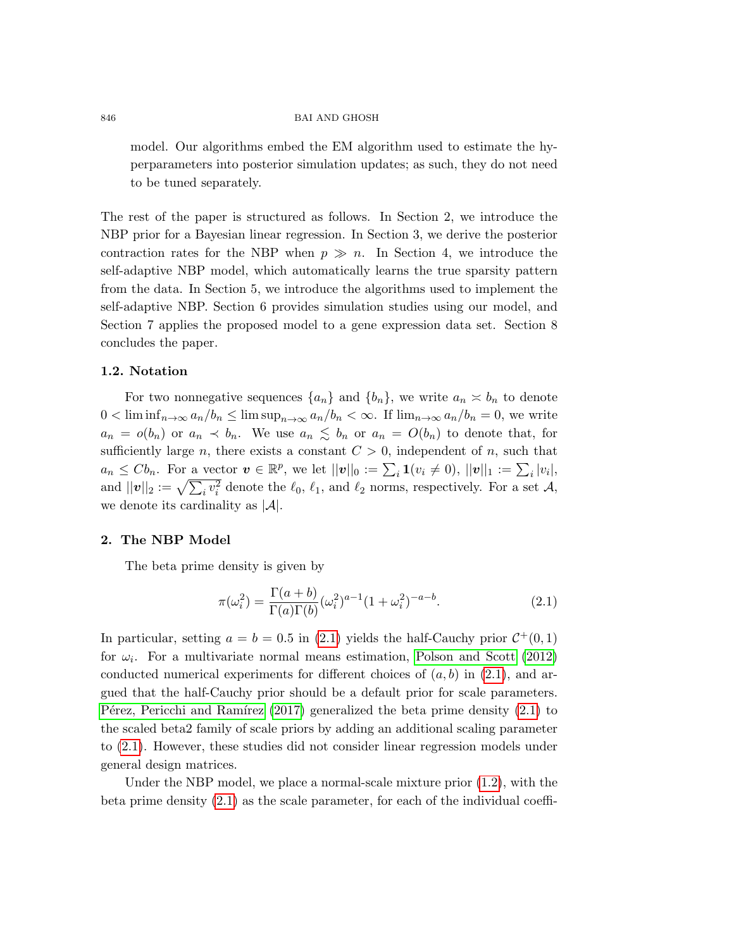model. Our algorithms embed the EM algorithm used to estimate the hyperparameters into posterior simulation updates; as such, they do not need to be tuned separately.

The rest of the paper is structured as follows. In Section 2, we introduce the NBP prior for a Bayesian linear regression. In Section 3, we derive the posterior contraction rates for the NBP when  $p \gg n$ . In Section 4, we introduce the self-adaptive NBP model, which automatically learns the true sparsity pattern from the data. In Section 5, we introduce the algorithms used to implement the self-adaptive NBP. Section 6 provides simulation studies using our model, and Section 7 applies the proposed model to a gene expression data set. Section 8 concludes the paper.

#### 1.2. Notation

For two nonnegative sequences  $\{a_n\}$  and  $\{b_n\}$ , we write  $a_n \approx b_n$  to denote  $0 < \liminf_{n \to \infty} a_n/b_n \le \limsup_{n \to \infty} a_n/b_n < \infty$ . If  $\lim_{n \to \infty} a_n/b_n = 0$ , we write  $a_n = o(b_n)$  or  $a_n \prec b_n$ . We use  $a_n \leq b_n$  or  $a_n = O(b_n)$  to denote that, for sufficiently large n, there exists a constant  $C > 0$ , independent of n, such that  $a_n \leq C b_n$ . For a vector  $\boldsymbol{v} \in \mathbb{R}^p$ , we let  $||\boldsymbol{v}||_0 := \sum_i \mathbf{1}(v_i \neq 0)$ ,  $||\boldsymbol{v}||_1 := \sum_i |v_i|$ , and  $||v||_2 := \sqrt{\sum_i v_i^2}$  denote the  $\ell_0$ ,  $\ell_1$ , and  $\ell_2$  norms, respectively. For a set A, we denote its cardinality as  $|\mathcal{A}|$ .

#### 2. The NBP Model

The beta prime density is given by

<span id="page-3-0"></span>
$$
\pi(\omega_i^2) = \frac{\Gamma(a+b)}{\Gamma(a)\Gamma(b)} (\omega_i^2)^{a-1} (1+\omega_i^2)^{-a-b}.
$$
\n(2.1)

In particular, setting  $a = b = 0.5$  in [\(2.1\)](#page-3-0) yields the half-Cauchy prior  $C^+(0,1)$ for  $\omega_i$ . For a multivariate normal means estimation, [Polson and Scott \(2012\)](#page-21-9) conducted numerical experiments for different choices of  $(a, b)$  in [\(2.1\)](#page-3-0), and argued that the half-Cauchy prior should be a default prior for scale parameters. Pérez, Pericchi and Ramírez (2017) generalized the beta prime density  $(2.1)$  to the scaled beta2 family of scale priors by adding an additional scaling parameter to [\(2.1\)](#page-3-0). However, these studies did not consider linear regression models under general design matrices.

Under the NBP model, we place a normal-scale mixture prior [\(1.2\)](#page-1-0), with the beta prime density [\(2.1\)](#page-3-0) as the scale parameter, for each of the individual coeffi-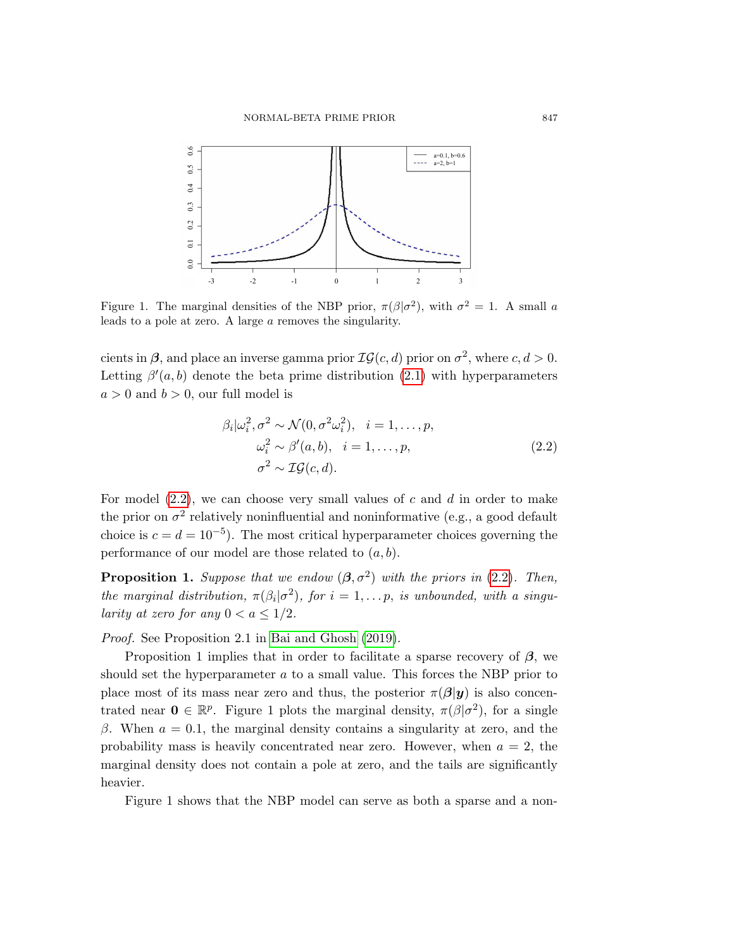

Figure 1. The marginal densities of the NBP prior,  $\pi(\beta|\sigma^2)$ , with  $\sigma^2 = 1$ . A small a leads to a pole at zero. A large a removes the singularity.

cients in  $\beta$ , and place an inverse gamma prior  $\mathcal{IG}(c, d)$  prior on  $\sigma^2$ , where  $c, d > 0$ . Letting  $\beta'(a, b)$  denote the beta prime distribution [\(2.1\)](#page-3-0) with hyperparameters  $a > 0$  and  $b > 0$ , our full model is

<span id="page-4-0"></span>
$$
\beta_i|\omega_i^2, \sigma^2 \sim \mathcal{N}(0, \sigma^2 \omega_i^2), \quad i = 1, \dots, p,
$$
  
\n
$$
\omega_i^2 \sim \beta'(a, b), \quad i = 1, \dots, p,
$$
  
\n
$$
\sigma^2 \sim \mathcal{IG}(c, d).
$$
\n(2.2)

For model  $(2.2)$ , we can choose very small values of c and d in order to make the prior on  $\sigma^2$  relatively noninfluential and noninformative (e.g., a good default choice is  $c = d = 10^{-5}$ ). The most critical hyperparameter choices governing the performance of our model are those related to  $(a, b)$ .

**Proposition 1.** Suppose that we endow  $(\beta, \sigma^2)$  with the priors in [\(2](#page-4-0).2). Then, the marginal distribution,  $\pi(\beta_i|\sigma^2)$ , for  $i=1,\ldots p$ , is unbounded, with a singularity at zero for any  $0 < a \leq 1/2$ .

Proof. See Proposition 2.1 in [Bai and Ghosh \(2019\)](#page-19-3).

Proposition 1 implies that in order to facilitate a sparse recovery of  $\beta$ , we should set the hyperparameter  $a$  to a small value. This forces the NBP prior to place most of its mass near zero and thus, the posterior  $\pi(\beta|y)$  is also concentrated near  $\mathbf{0} \in \mathbb{R}^p$ . Figure 1 plots the marginal density,  $\pi(\beta|\sigma^2)$ , for a single β. When  $a = 0.1$ , the marginal density contains a singularity at zero, and the probability mass is heavily concentrated near zero. However, when  $a = 2$ , the marginal density does not contain a pole at zero, and the tails are significantly heavier.

Figure 1 shows that the NBP model can serve as both a sparse and a non-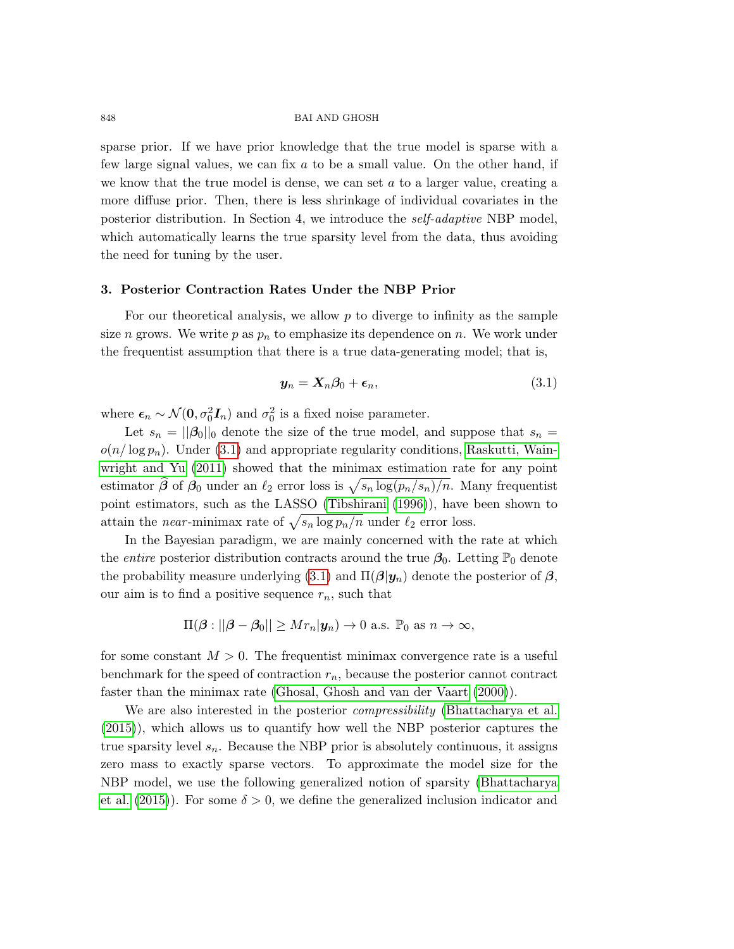sparse prior. If we have prior knowledge that the true model is sparse with a few large signal values, we can fix a to be a small value. On the other hand, if we know that the true model is dense, we can set  $a$  to a larger value, creating a more diffuse prior. Then, there is less shrinkage of individual covariates in the posterior distribution. In Section 4, we introduce the self-adaptive NBP model, which automatically learns the true sparsity level from the data, thus avoiding the need for tuning by the user.

## 3. Posterior Contraction Rates Under the NBP Prior

For our theoretical analysis, we allow  $p$  to diverge to infinity as the sample size n grows. We write p as  $p_n$  to emphasize its dependence on n. We work under the frequentist assumption that there is a true data-generating model; that is,

<span id="page-5-0"></span>
$$
\mathbf{y}_n = \mathbf{X}_n \boldsymbol{\beta}_0 + \boldsymbol{\epsilon}_n,\tag{3.1}
$$

where  $\epsilon_n \sim \mathcal{N}(\mathbf{0}, \sigma_0^2 \mathbf{I}_n)$  and  $\sigma_0^2$  is a fixed noise parameter.

Let  $s_n = ||\beta_0||_0$  denote the size of the true model, and suppose that  $s_n =$  $o(n/\log p_n)$ . Under [\(3.1\)](#page-5-0) and appropriate regularity conditions, [Raskutti, Wain](#page-21-10)[wright and Yu \(2011\)](#page-21-10) showed that the minimax estimation rate for any point estimator  $\hat{\beta}$  of  $\beta_0$  under an  $\ell_2$  error loss is  $\sqrt{s_n \log(p_n/s_n)/n}$ . Many frequentist point estimators, such as the LASSO [\(Tibshirani \(1996\)](#page-21-7)), have been shown to attain the *near*-minimax rate of  $\sqrt{s_n \log p_n/n}$  under  $\ell_2$  error loss.

In the Bayesian paradigm, we are mainly concerned with the rate at which the *entire* posterior distribution contracts around the true  $\beta_0$ . Letting  $\mathbb{P}_0$  denote the probability measure underlying [\(3.1\)](#page-5-0) and  $\Pi(\boldsymbol{\beta}|\boldsymbol{y}_n)$  denote the posterior of  $\boldsymbol{\beta}$ , our aim is to find a positive sequence  $r_n$ , such that

$$
\Pi(\boldsymbol{\beta} : ||\boldsymbol{\beta} - \boldsymbol{\beta}_0|| \ge Mr_n|\boldsymbol{y}_n) \to 0
$$
 a.s.  $\mathbb{P}_0$  as  $n \to \infty$ ,

for some constant  $M > 0$ . The frequentist minimax convergence rate is a useful benchmark for the speed of contraction  $r_n$ , because the posterior cannot contract faster than the minimax rate [\(Ghosal, Ghosh and van der Vaart \(2000\)](#page-20-10)).

We are also interested in the posterior *compressibility* [\(Bhattacharya et al.](#page-20-7) [\(2015\)](#page-20-7)), which allows us to quantify how well the NBP posterior captures the true sparsity level  $s_n$ . Because the NBP prior is absolutely continuous, it assigns zero mass to exactly sparse vectors. To approximate the model size for the NBP model, we use the following generalized notion of sparsity [\(Bhattacharya](#page-20-7) [et al. \(2015\)](#page-20-7)). For some  $\delta > 0$ , we define the generalized inclusion indicator and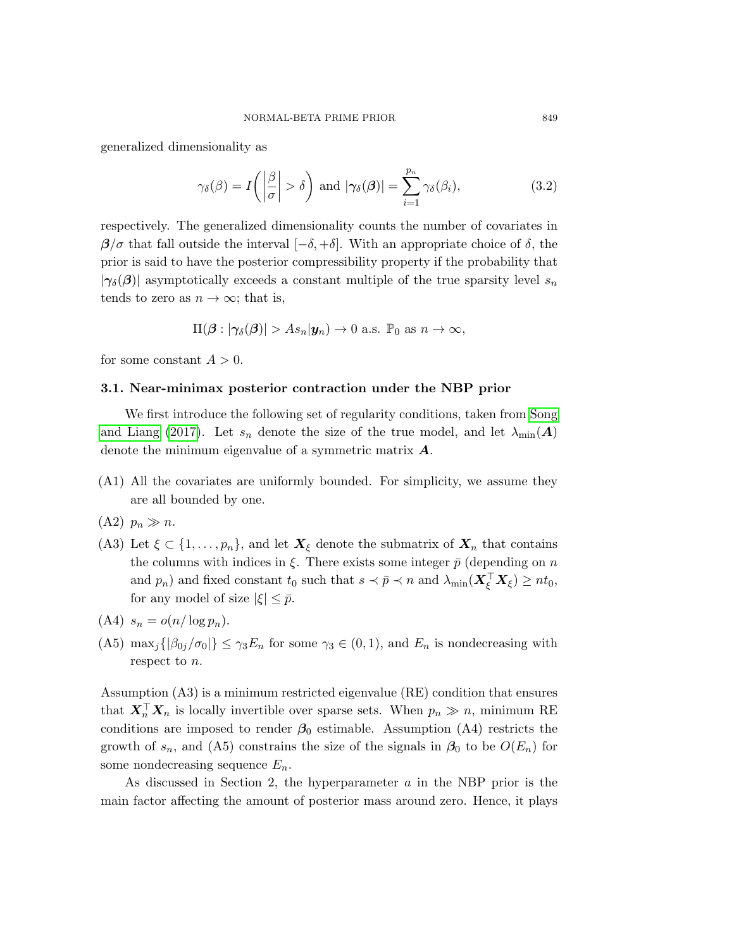generalized dimensionality as

<span id="page-6-0"></span>
$$
\gamma_{\delta}(\beta) = I\left(\left|\frac{\beta}{\sigma}\right| > \delta\right) \text{ and } |\gamma_{\delta}(\beta)| = \sum_{i=1}^{p_n} \gamma_{\delta}(\beta_i), \tag{3.2}
$$

respectively. The generalized dimensionality counts the number of covariates in  $\beta/\sigma$  that fall outside the interval  $[-\delta, +\delta]$ . With an appropriate choice of  $\delta$ , the prior is said to have the posterior compressibility property if the probability that  $|\gamma_{\delta}(\beta)|$  asymptotically exceeds a constant multiple of the true sparsity level  $s_n$ tends to zero as  $n \to \infty$ ; that is,

$$
\Pi(\boldsymbol{\beta} : |\gamma_{\delta}(\boldsymbol{\beta})| > As_n|\mathbf{y}_n) \to 0
$$
 a.s.  $\mathbb{P}_0$  as  $n \to \infty$ ,

for some constant  $A > 0$ .

## 3.1. Near-minimax posterior contraction under the NBP prior

We first introduce the following set of regularity conditions, taken from [Song](#page-21-5) [and Liang \(2017\)](#page-21-5). Let  $s_n$  denote the size of the true model, and let  $\lambda_{\min}(\boldsymbol{A})$ denote the minimum eigenvalue of a symmetric matrix A.

(A1) All the covariates are uniformly bounded. For simplicity, we assume they are all bounded by one.

 $(A2)$   $p_n \gg n$ .

- (A3) Let  $\xi \subset \{1, \ldots, p_n\}$ , and let  $X_{\xi}$  denote the submatrix of  $X_n$  that contains the columns with indices in  $\xi$ . There exists some integer  $\bar{p}$  (depending on n and  $p_n$ ) and fixed constant  $t_0$  such that  $s \prec \bar{p} \prec n$  and  $\lambda_{\min}(\boldsymbol{X}_{\xi}^{\top} \boldsymbol{X}_{\xi}) \geq nt_0$ , for any model of size  $|\xi| \leq \bar{p}$ .
- (A4)  $s_n = o(n/\log p_n)$ .
- (A5) max<sub>j</sub>{ $|\beta_{0j}/\sigma_0|$ }  $\leq \gamma_3 E_n$  for some  $\gamma_3 \in (0,1)$ , and  $E_n$  is nondecreasing with respect to n.

Assumption (A3) is a minimum restricted eigenvalue (RE) condition that ensures that  $X_n^{\top} X_n$  is locally invertible over sparse sets. When  $p_n \gg n$ , minimum RE conditions are imposed to render  $\beta_0$  estimable. Assumption (A4) restricts the growth of  $s_n$ , and (A5) constrains the size of the signals in  $\beta_0$  to be  $O(E_n)$  for some nondecreasing sequence  $E_n$ .

As discussed in Section 2, the hyperparameter a in the NBP prior is the main factor affecting the amount of posterior mass around zero. Hence, it plays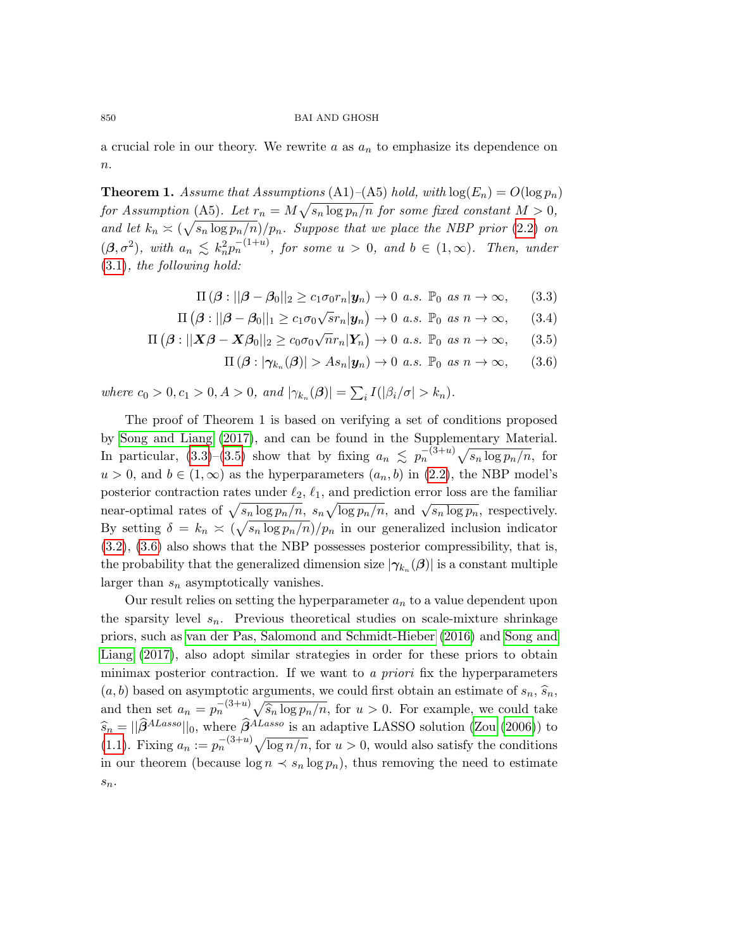a crucial role in our theory. We rewrite a as  $a_n$  to emphasize its dependence on  $\boldsymbol{n}$ .

**Theorem 1.** Assume that Assumptions  $(A1)$ – $(A5)$  hold, with  $log(E_n) = O(log p_n)$ for Assumption (A5). Let  $r_n = M \sqrt{s_n \log p_n/n}$  for some fixed constant  $M > 0$ , and let  $k_n \asymp (\sqrt{s_n \log p_n/n})/p_n$ . Suppose that we place the NBP prior [\(2](#page-4-0).2) on  $(\beta, \sigma^2)$ , with  $a_n \leq k_n^2 p_n^{-(1+u)}$ , for some  $u > 0$ , and  $b \in (1, \infty)$ . Then, under [\(3](#page-5-0).1), the following hold:

<span id="page-7-0"></span>
$$
\Pi(\boldsymbol{\beta} : ||\boldsymbol{\beta} - \boldsymbol{\beta}_0||_2 \ge c_1 \sigma_0 r_n |\boldsymbol{y}_n) \to 0 \text{ a.s. } \mathbb{P}_0 \text{ as } n \to \infty,
$$
 (3.3)

$$
\Pi(\boldsymbol{\beta} : ||\boldsymbol{\beta} - \boldsymbol{\beta}_0||_1 \ge c_1 \sigma_0 \sqrt{s} r_n |\boldsymbol{y}_n) \to 0 \text{ a.s. } \mathbb{P}_0 \text{ as } n \to \infty,
$$
 (3.4)

$$
\Pi\left(\boldsymbol{\beta} : ||\boldsymbol{X}\boldsymbol{\beta} - \boldsymbol{X}\boldsymbol{\beta}_0||_2 \ge c_0 \sigma_0 \sqrt{n} r_n |\boldsymbol{Y}_n\rangle \to 0 \text{ a.s. } \mathbb{P}_0 \text{ as } n \to \infty,
$$
 (3.5)

$$
\Pi(\boldsymbol{\beta} : |\boldsymbol{\gamma}_{k_n}(\boldsymbol{\beta})| > As_n|\mathbf{y}_n) \to 0 \text{ a.s. } \mathbb{P}_0 \text{ as } n \to \infty,
$$
 (3.6)

where  $c_0 > 0, c_1 > 0, A > 0$ , and  $|\gamma_{k_n}(\beta)| = \sum_i I(|\beta_i/\sigma| > k_n)$ .

The proof of Theorem 1 is based on verifying a set of conditions proposed by [Song and Liang \(2017\)](#page-21-5), and can be found in the Supplementary Material. In particular, [\(3.3\)](#page-7-0)–[\(3.5\)](#page-7-0) show that by fixing  $a_n \leq p_n^{-(3+u)} \sqrt{s_n \log p_n/n}$ , for  $u > 0$ , and  $b \in (1, \infty)$  as the hyperparameters  $(a_n, b)$  in  $(2.2)$ , the NBP model's posterior contraction rates under  $\ell_2$ ,  $\ell_1$ , and prediction error loss are the familiar posterior contraction rates under  $\epsilon_2$ ,  $\epsilon_1$ , and prediction error loss are the raining<br>near-optimal rates of  $\sqrt{s_n \log p_n/n}$ ,  $s_n \sqrt{\log p_n/n}$ , and  $\sqrt{s_n \log p_n}$ , respectively. By setting  $\delta = k_n \simeq (\sqrt{s_n \log p_n/n})/p_n$  in our generalized inclusion indicator [\(3.2\)](#page-6-0), [\(3.6\)](#page-7-0) also shows that the NBP possesses posterior compressibility, that is, the probability that the generalized dimension size  $|\gamma_{k_n}(\beta)|$  is a constant multiple larger than  $s_n$  asymptotically vanishes.

Our result relies on setting the hyperparameter  $a_n$  to a value dependent upon the sparsity level  $s_n$ . Previous theoretical studies on scale-mixture shrinkage priors, such as [van der Pas, Salomond and Schmidt-Hieber \(2016\)](#page-21-4) and [Song and](#page-21-5) [Liang \(2017\)](#page-21-5), also adopt similar strategies in order for these priors to obtain minimax posterior contraction. If we want to a priori fix the hyperparameters  $(a, b)$  based on asymptotic arguments, we could first obtain an estimate of  $s_n$ ,  $\widehat{s}_n$ , and then set  $a_n = p_n^{-(3+u)} \sqrt{\hat{s}_n \log p_n/n}$ , for  $u > 0$ . For example, we could take  $\widehat{s}_n = ||\widehat{\beta}^{ALasso}||_0$ , where  $\widehat{\beta}^{ALasso}$  is an adaptive LASSO solution [\(Zou \(2006\)](#page-21-11)) to [\(1.1\)](#page-0-0). Fixing  $a_n := p_n^{-(3+u)} \sqrt{\log n/n}$ , for  $u > 0$ , would also satisfy the conditions in our theorem (because  $\log n \prec s_n \log p_n$ ), thus removing the need to estimate  $\mathfrak{s}_n.$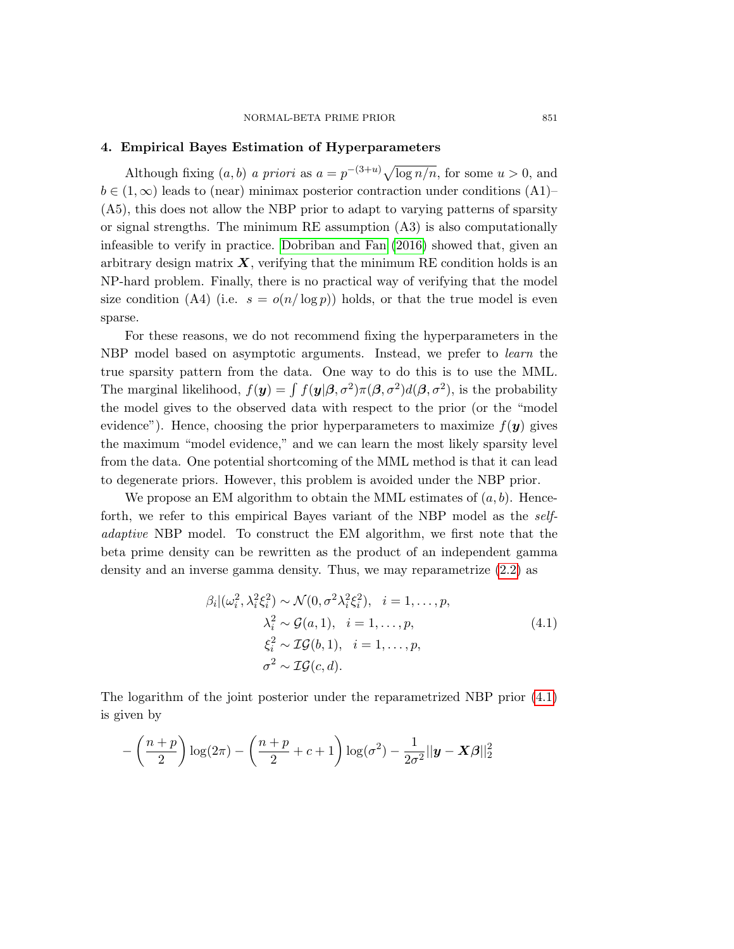### 4. Empirical Bayes Estimation of Hyperparameters

Although fixing  $(a, b)$  a priori as  $a = p^{-(3+u)} \sqrt{\log n/n}$ , for some  $u > 0$ , and  $b \in (1,\infty)$  leads to (near) minimax posterior contraction under conditions (A1)– (A5), this does not allow the NBP prior to adapt to varying patterns of sparsity or signal strengths. The minimum RE assumption (A3) is also computationally infeasible to verify in practice. [Dobriban and Fan \(2016\)](#page-20-11) showed that, given an arbitrary design matrix  $\boldsymbol{X}$ , verifying that the minimum RE condition holds is an NP-hard problem. Finally, there is no practical way of verifying that the model size condition (A4) (i.e.  $s = o(n/\log p)$ ) holds, or that the true model is even sparse.

For these reasons, we do not recommend fixing the hyperparameters in the NBP model based on asymptotic arguments. Instead, we prefer to *learn* the true sparsity pattern from the data. One way to do this is to use the MML. The marginal likelihood,  $f(y) = \int f(y|\beta, \sigma^2) \pi(\beta, \sigma^2) d(\beta, \sigma^2)$ , is the probability the model gives to the observed data with respect to the prior (or the "model evidence"). Hence, choosing the prior hyperparameters to maximize  $f(\mathbf{y})$  gives the maximum "model evidence," and we can learn the most likely sparsity level from the data. One potential shortcoming of the MML method is that it can lead to degenerate priors. However, this problem is avoided under the NBP prior.

We propose an EM algorithm to obtain the MML estimates of  $(a, b)$ . Henceforth, we refer to this empirical Bayes variant of the NBP model as the selfadaptive NBP model. To construct the EM algorithm, we first note that the beta prime density can be rewritten as the product of an independent gamma density and an inverse gamma density. Thus, we may reparametrize [\(2.2\)](#page-4-0) as

<span id="page-8-0"></span>
$$
\beta_i | (\omega_i^2, \lambda_i^2 \xi_i^2) \sim \mathcal{N}(0, \sigma^2 \lambda_i^2 \xi_i^2), \quad i = 1, \dots, p,
$$
  

$$
\lambda_i^2 \sim \mathcal{G}(a, 1), \quad i = 1, \dots, p,
$$
  

$$
\xi_i^2 \sim \mathcal{IG}(b, 1), \quad i = 1, \dots, p,
$$
  

$$
\sigma^2 \sim \mathcal{IG}(c, d).
$$
  
(4.1)

The logarithm of the joint posterior under the reparametrized NBP prior [\(4.1\)](#page-8-0) is given by

$$
-\left(\frac{n+p}{2}\right)\log(2\pi) - \left(\frac{n+p}{2} + c + 1\right)\log(\sigma^2) - \frac{1}{2\sigma^2}||\mathbf{y} - \mathbf{X}\boldsymbol{\beta}||_2^2
$$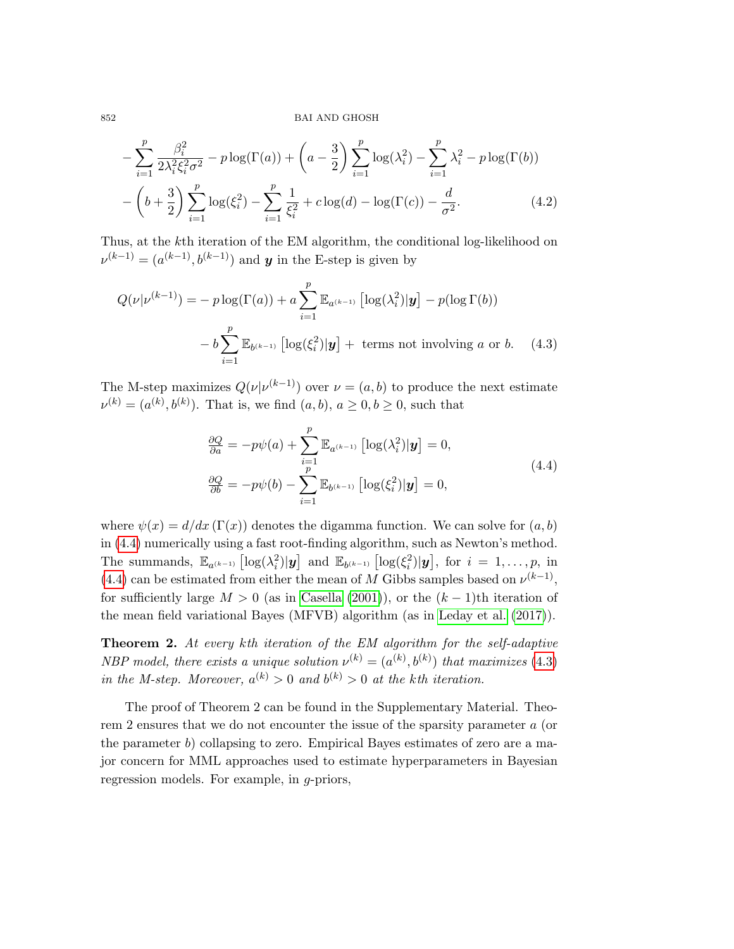$$
-\sum_{i=1}^{p} \frac{\beta_i^2}{2\lambda_i^2 \xi_i^2 \sigma^2} - p \log(\Gamma(a)) + \left(a - \frac{3}{2}\right) \sum_{i=1}^{p} \log(\lambda_i^2) - \sum_{i=1}^{p} \lambda_i^2 - p \log(\Gamma(b)) - \left(b + \frac{3}{2}\right) \sum_{i=1}^{p} \log(\xi_i^2) - \sum_{i=1}^{p} \frac{1}{\xi_i^2} + c \log(d) - \log(\Gamma(c)) - \frac{d}{\sigma^2}.
$$
\n(4.2)

Thus, at the kth iteration of the EM algorithm, the conditional log-likelihood on  $\nu^{(k-1)} = (a^{(k-1)}, b^{(k-1)})$  and y in the E-step is given by

$$
Q(\nu|\nu^{(k-1)}) = -p \log(\Gamma(a)) + a \sum_{i=1}^{p} \mathbb{E}_{a^{(k-1)}} \left[ \log(\lambda_i^2) | \mathbf{y} \right] - p(\log \Gamma(b))
$$

$$
-b \sum_{i=1}^{p} \mathbb{E}_{b^{(k-1)}} \left[ \log(\xi_i^2) | \mathbf{y} \right] + \text{ terms not involving } a \text{ or } b. \quad (4.3)
$$

The M-step maximizes  $Q(\nu|\nu^{(k-1)})$  over  $\nu = (a, b)$  to produce the next estimate  $\nu^{(k)} = (a^{(k)}, b^{(k)})$ . That is, we find  $(a, b), a \ge 0, b \ge 0$ , such that

<span id="page-9-1"></span><span id="page-9-0"></span>
$$
\frac{\partial Q}{\partial a} = -p\psi(a) + \sum_{i=1}^{p} \mathbb{E}_{a^{(k-1)}} \left[ \log(\lambda_i^2) | \mathbf{y} \right] = 0,
$$
\n
$$
\frac{\partial Q}{\partial b} = -p\psi(b) - \sum_{i=1}^{p} \mathbb{E}_{b^{(k-1)}} \left[ \log(\xi_i^2) | \mathbf{y} \right] = 0,
$$
\n(4.4)

where  $\psi(x) = d/dx \left( \Gamma(x) \right)$  denotes the digamma function. We can solve for  $(a, b)$ in [\(4.4\)](#page-9-0) numerically using a fast root-finding algorithm, such as Newton's method. The summands,  $\mathbb{E}_{a^{(k-1)}}\left[\log(\lambda_i^2)|\mathbf{y}\right]$  and  $\mathbb{E}_{b^{(k-1)}}\left[\log(\xi_i^2)|\mathbf{y}\right]$ , for  $i=1,\ldots,p$ , in [\(4.4\)](#page-9-0) can be estimated from either the mean of M Gibbs samples based on  $\nu^{(k-1)}$ , for sufficiently large  $M > 0$  (as in [Casella \(2001\)](#page-20-12)), or the  $(k-1)$ th iteration of the mean field variational Bayes (MFVB) algorithm (as in [Leday et al. \(2017\)](#page-20-13)).

Theorem 2. At every kth iteration of the EM algorithm for the self-adaptive NBP model, there exists a unique solution  $\nu^{(k)} = (a^{(k)}, b^{(k)})$  that maximizes [\(4](#page-9-1).3) in the M-step. Moreover,  $a^{(k)} > 0$  and  $b^{(k)} > 0$  at the kth iteration.

The proof of Theorem 2 can be found in the Supplementary Material. Theorem 2 ensures that we do not encounter the issue of the sparsity parameter a (or the parameter  $b$ ) collapsing to zero. Empirical Bayes estimates of zero are a major concern for MML approaches used to estimate hyperparameters in Bayesian regression models. For example, in g-priors,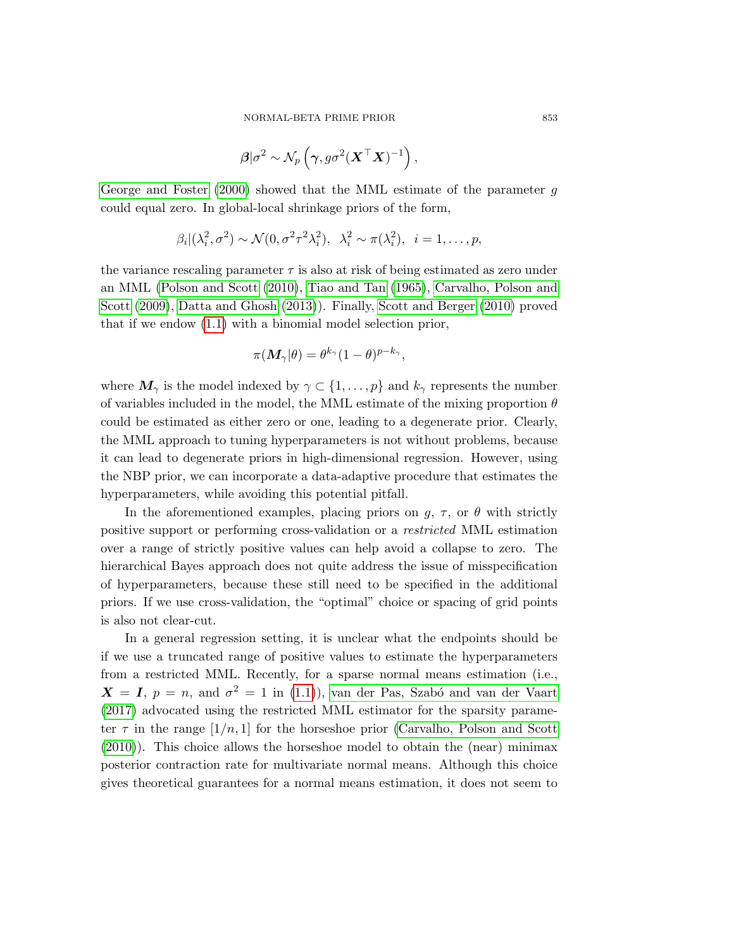$$
\boldsymbol{\beta}|\sigma^2 \sim \mathcal{N}_p\left(\boldsymbol{\gamma}, g\sigma^2(\boldsymbol{X}^\top\boldsymbol{X})^{-1}\right),\,
$$

[George and Foster \(2000\)](#page-20-14) showed that the MML estimate of the parameter g could equal zero. In global-local shrinkage priors of the form,

$$
\beta_i | (\lambda_i^2, \sigma^2) \sim \mathcal{N}(0, \sigma^2 \tau^2 \lambda_i^2), \ \lambda_i^2 \sim \pi(\lambda_i^2), \ i = 1, \dots, p,
$$

the variance rescaling parameter  $\tau$  is also at risk of being estimated as zero under an MML [\(Polson and Scott \(2010\)](#page-21-12), [Tiao and Tan \(1965\)](#page-21-13), [Carvalho, Polson and](#page-20-15) [Scott \(2009\)](#page-20-15), [Datta and Ghosh \(2013\)](#page-20-16)). Finally, [Scott and Berger \(2010\)](#page-21-14) proved that if we endow [\(1.1\)](#page-0-0) with a binomial model selection prior,

$$
\pi(\boldsymbol{M}_{\gamma}|\theta) = \theta^{k_{\gamma}}(1-\theta)^{p-k_{\gamma}},
$$

where  $M_{\gamma}$  is the model indexed by  $\gamma \subset \{1, \ldots, p\}$  and  $k_{\gamma}$  represents the number of variables included in the model, the MML estimate of the mixing proportion  $\theta$ could be estimated as either zero or one, leading to a degenerate prior. Clearly, the MML approach to tuning hyperparameters is not without problems, because it can lead to degenerate priors in high-dimensional regression. However, using the NBP prior, we can incorporate a data-adaptive procedure that estimates the hyperparameters, while avoiding this potential pitfall.

In the aforementioned examples, placing priors on  $g, \tau$ , or  $\theta$  with strictly positive support or performing cross-validation or a restricted MML estimation over a range of strictly positive values can help avoid a collapse to zero. The hierarchical Bayes approach does not quite address the issue of misspecification of hyperparameters, because these still need to be specified in the additional priors. If we use cross-validation, the "optimal" choice or spacing of grid points is also not clear-cut.

In a general regression setting, it is unclear what the endpoints should be if we use a truncated range of positive values to estimate the hyperparameters from a restricted MML. Recently, for a sparse normal means estimation (i.e.,  $X = I$ ,  $p = n$ , and  $\sigma^2 = 1$  in [\(1.1\)](#page-0-0)), van der Pas, Szabó and van der Vaart [\(2017\)](#page-21-15) advocated using the restricted MML estimator for the sparsity parameter  $\tau$  in the range  $[1/n, 1]$  for the horseshoe prior [\(Carvalho, Polson and Scott](#page-20-5) [\(2010\)](#page-20-5)). This choice allows the horseshoe model to obtain the (near) minimax posterior contraction rate for multivariate normal means. Although this choice gives theoretical guarantees for a normal means estimation, it does not seem to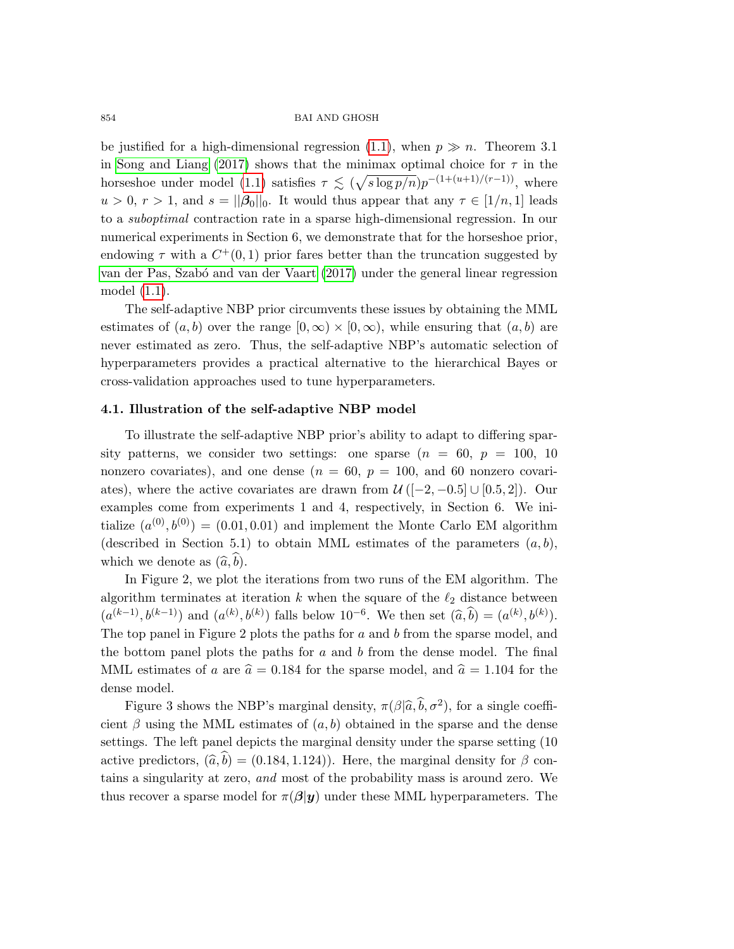be justified for a high-dimensional regression [\(1.1\)](#page-0-0), when  $p \gg n$ . Theorem 3.1 in [Song and Liang \(2017\)](#page-21-5) shows that the minimax optimal choice for  $\tau$  in the horseshoe under model [\(1.1\)](#page-0-0) satisfies  $\tau \lesssim (\sqrt{s \log p/n}) p^{-(1+(u+1)/(r-1))}$ , where  $u > 0, r > 1$ , and  $s = ||\beta_0||_0$ . It would thus appear that any  $\tau \in [1/n, 1]$  leads to a suboptimal contraction rate in a sparse high-dimensional regression. In our numerical experiments in Section 6, we demonstrate that for the horseshoe prior, endowing  $\tau$  with a  $C^+(0,1)$  prior fares better than the truncation suggested by [van der Pas, Szab´o and van der Vaart \(2017\)](#page-21-15) under the general linear regression model [\(1.1\)](#page-0-0).

The self-adaptive NBP prior circumvents these issues by obtaining the MML estimates of  $(a, b)$  over the range  $[0, \infty) \times [0, \infty)$ , while ensuring that  $(a, b)$  are never estimated as zero. Thus, the self-adaptive NBP's automatic selection of hyperparameters provides a practical alternative to the hierarchical Bayes or cross-validation approaches used to tune hyperparameters.

## 4.1. Illustration of the self-adaptive NBP model

To illustrate the self-adaptive NBP prior's ability to adapt to differing sparsity patterns, we consider two settings: one sparse  $(n = 60, p = 100, 10$ nonzero covariates), and one dense ( $n = 60$ ,  $p = 100$ , and 60 nonzero covariates), where the active covariates are drawn from  $\mathcal{U}([-2, -0.5] \cup [0.5, 2])$ . Our examples come from experiments 1 and 4, respectively, in Section 6. We initialize  $(a^{(0)}, b^{(0)}) = (0.01, 0.01)$  and implement the Monte Carlo EM algorithm (described in Section 5.1) to obtain MML estimates of the parameters  $(a, b)$ , which we denote as  $(\widehat{a},\widehat{b})$ .

In Figure 2, we plot the iterations from two runs of the EM algorithm. The algorithm terminates at iteration k when the square of the  $\ell_2$  distance between  $(a^{(k-1)}, b^{(k-1)})$  and  $(a^{(k)}, b^{(k)})$  falls below  $10^{-6}$ . We then set  $(\widehat{a}, \widehat{b}) = (a^{(k)}, b^{(k)})$ . The top panel in Figure 2 plots the paths for a and b from the sparse model, and the bottom panel plots the paths for  $a$  and  $b$  from the dense model. The final MML estimates of a are  $\hat{a} = 0.184$  for the sparse model, and  $\hat{a} = 1.104$  for the dense model.

Figure 3 shows the NBP's marginal density,  $\pi(\beta|\hat{a}, \hat{b}, \sigma^2)$ , for a single coefficient  $\beta$  using the MML estimates of  $(a, b)$  obtained in the sparse and the dense settings. The left panel depicts the marginal density under the sparse setting (10 active predictors,  $(\hat{a}, \hat{b}) = (0.184, 1.124)$ . Here, the marginal density for  $\beta$  contains a singularity at zero, and most of the probability mass is around zero. We thus recover a sparse model for  $\pi(\beta|y)$  under these MML hyperparameters. The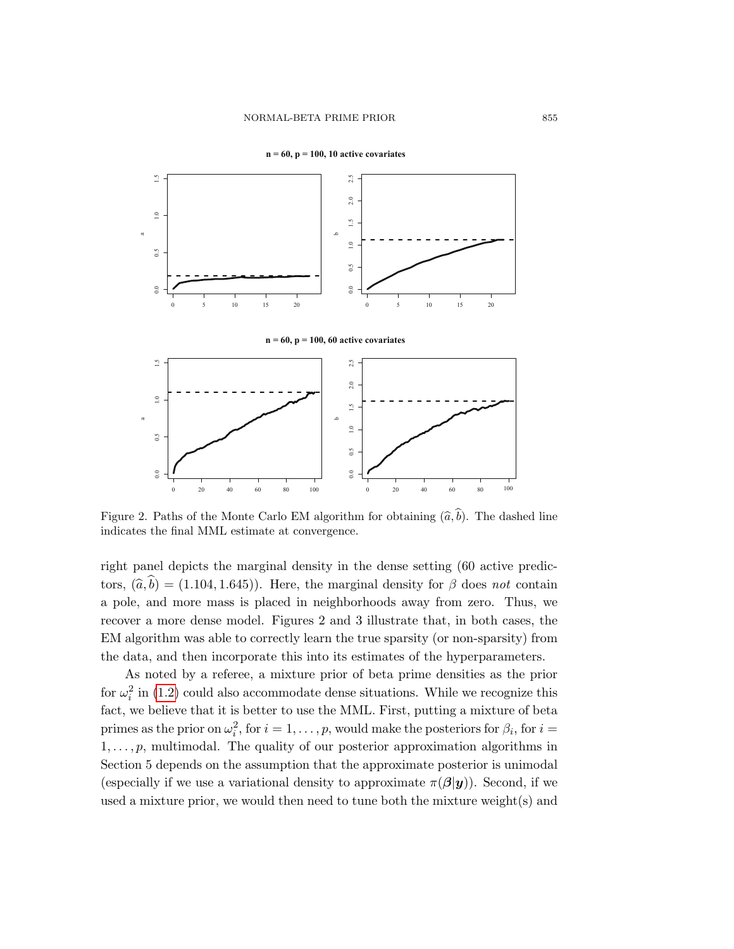

**n = 60, p = 100, 10 active covariates**

Figure 2. Paths of the Monte Carlo EM algorithm for obtaining  $(\hat{a},\hat{b})$ . The dashed line indicates the final MML estimate at convergence.

right panel depicts the marginal density in the dense setting (60 active predictors,  $(\hat{a}, \hat{b}) = (1.104, 1.645)$ . Here, the marginal density for  $\beta$  does not contain a pole, and more mass is placed in neighborhoods away from zero. Thus, we recover a more dense model. Figures 2 and 3 illustrate that, in both cases, the EM algorithm was able to correctly learn the true sparsity (or non-sparsity) from the data, and then incorporate this into its estimates of the hyperparameters.

As noted by a referee, a mixture prior of beta prime densities as the prior for  $\omega_i^2$  in [\(1.2\)](#page-1-0) could also accommodate dense situations. While we recognize this fact, we believe that it is better to use the MML. First, putting a mixture of beta primes as the prior on  $\omega_i^2$ , for  $i = 1, \ldots, p$ , would make the posteriors for  $\beta_i$ , for  $i =$  $1, \ldots, p$ , multimodal. The quality of our posterior approximation algorithms in Section 5 depends on the assumption that the approximate posterior is unimodal (especially if we use a variational density to approximate  $\pi(\beta|y)$ ). Second, if we used a mixture prior, we would then need to tune both the mixture weight(s) and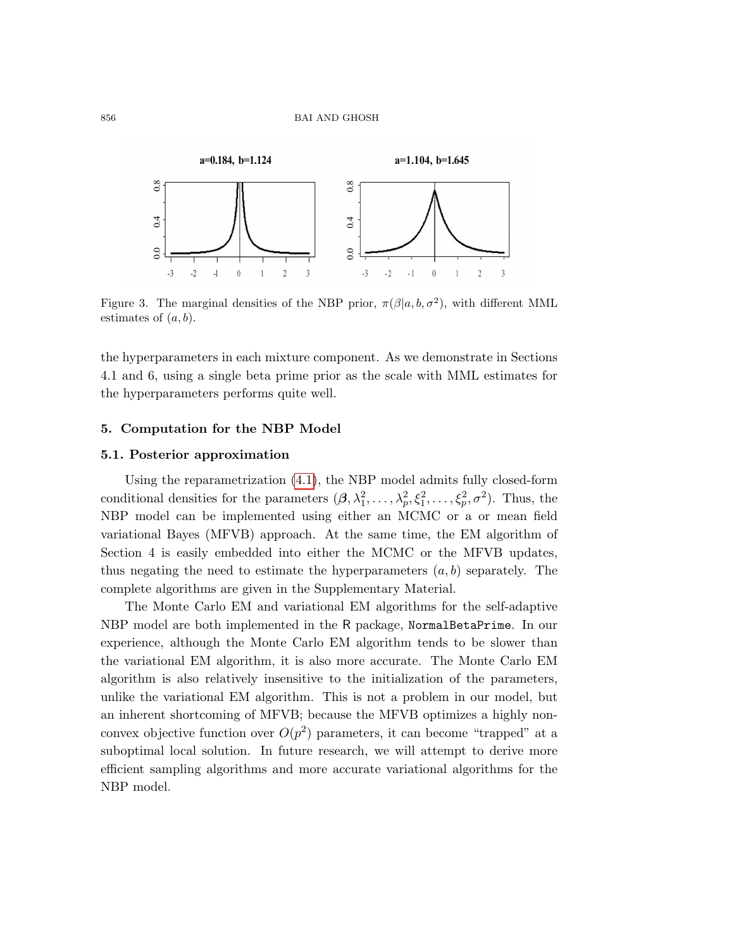

Figure 3. The marginal densities of the NBP prior,  $\pi(\beta|a, b, \sigma^2)$ , with different MML estimates of  $(a, b)$ .

the hyperparameters in each mixture component. As we demonstrate in Sections 4.1 and 6, using a single beta prime prior as the scale with MML estimates for the hyperparameters performs quite well.

## 5. Computation for the NBP Model

## 5.1. Posterior approximation

Using the reparametrization [\(4.1\)](#page-8-0), the NBP model admits fully closed-form conditional densities for the parameters  $(\beta, \lambda_1^2, \ldots, \lambda_p^2, \xi_1^2, \ldots, \xi_p^2, \sigma^2)$ . Thus, the NBP model can be implemented using either an MCMC or a or mean field variational Bayes (MFVB) approach. At the same time, the EM algorithm of Section 4 is easily embedded into either the MCMC or the MFVB updates, thus negating the need to estimate the hyperparameters  $(a, b)$  separately. The complete algorithms are given in the Supplementary Material.

The Monte Carlo EM and variational EM algorithms for the self-adaptive NBP model are both implemented in the R package, NormalBetaPrime. In our experience, although the Monte Carlo EM algorithm tends to be slower than the variational EM algorithm, it is also more accurate. The Monte Carlo EM algorithm is also relatively insensitive to the initialization of the parameters, unlike the variational EM algorithm. This is not a problem in our model, but an inherent shortcoming of MFVB; because the MFVB optimizes a highly nonconvex objective function over  $O(p^2)$  parameters, it can become "trapped" at a suboptimal local solution. In future research, we will attempt to derive more efficient sampling algorithms and more accurate variational algorithms for the NBP model.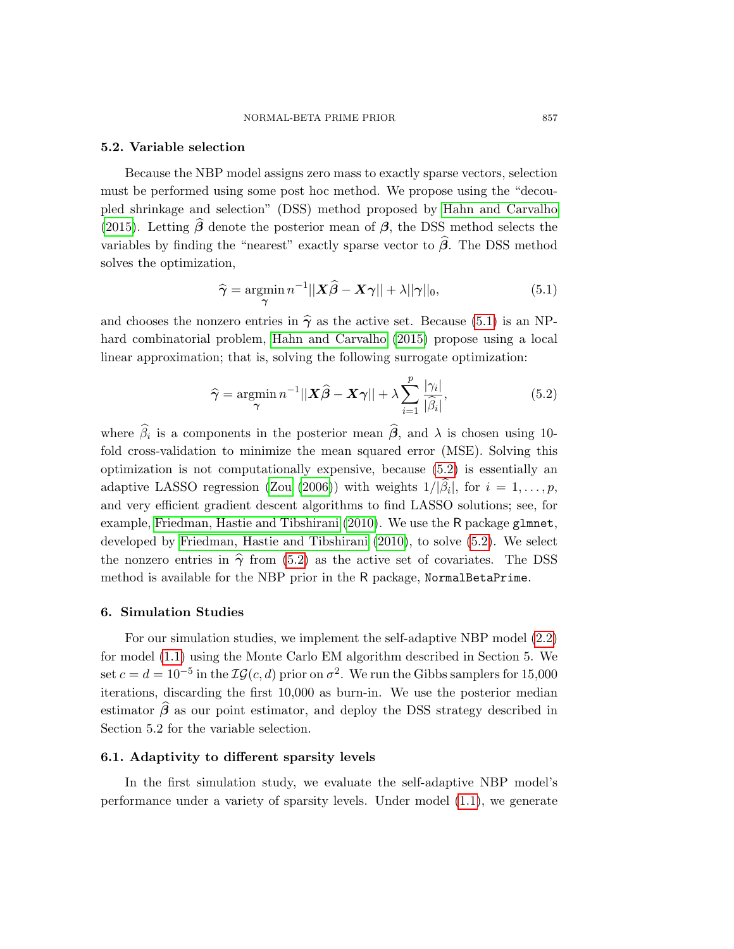#### 5.2. Variable selection

Because the NBP model assigns zero mass to exactly sparse vectors, selection must be performed using some post hoc method. We propose using the "decoupled shrinkage and selection" (DSS) method proposed by [Hahn and Carvalho](#page-20-17) [\(2015\)](#page-20-17). Letting  $\hat{\beta}$  denote the posterior mean of  $\beta$ , the DSS method selects the variables by finding the "nearest" exactly sparse vector to  $\hat{\beta}$ . The DSS method solves the optimization,

<span id="page-14-0"></span>
$$
\widehat{\gamma} = \operatorname*{argmin}_{\gamma} n^{-1} ||\mathbf{X}\widehat{\beta} - \mathbf{X}\gamma|| + \lambda ||\gamma||_0, \tag{5.1}
$$

and chooses the nonzero entries in  $\hat{\gamma}$  as the active set. Because [\(5.1\)](#page-14-0) is an NPhard combinatorial problem, [Hahn and Carvalho \(2015\)](#page-20-17) propose using a local linear approximation; that is, solving the following surrogate optimization:

<span id="page-14-1"></span>
$$
\widehat{\gamma} = \underset{\gamma}{\text{argmin}} \, n^{-1} ||\boldsymbol{X}\widehat{\boldsymbol{\beta}} - \boldsymbol{X}\boldsymbol{\gamma}|| + \lambda \sum_{i=1}^{p} \frac{|\gamma_i|}{|\widehat{\beta}_i|},\tag{5.2}
$$

where  $\beta_i$  is a components in the posterior mean  $\beta$ , and  $\lambda$  is chosen using 10fold cross-validation to minimize the mean squared error (MSE). Solving this optimization is not computationally expensive, because [\(5.2\)](#page-14-1) is essentially an adaptive LASSO regression [\(Zou \(2006\)](#page-21-11)) with weights  $1/|\beta_i|$ , for  $i = 1, ..., p$ , and very efficient gradient descent algorithms to find LASSO solutions; see, for example, [Friedman, Hastie and Tibshirani \(2010\)](#page-20-18). We use the R package glmnet, developed by [Friedman, Hastie and Tibshirani \(2010\)](#page-20-18), to solve [\(5.2\)](#page-14-1). We select the nonzero entries in  $\hat{\gamma}$  from [\(5.2\)](#page-14-1) as the active set of covariates. The DSS method is available for the NBP prior in the R package, NormalBetaPrime.

## 6. Simulation Studies

For our simulation studies, we implement the self-adaptive NBP model [\(2.2\)](#page-4-0) for model [\(1.1\)](#page-0-0) using the Monte Carlo EM algorithm described in Section 5. We set  $c = d = 10^{-5}$  in the  $IG(c, d)$  prior on  $\sigma^2$ . We run the Gibbs samplers for 15,000 iterations, discarding the first 10,000 as burn-in. We use the posterior median estimator  $\hat{\beta}$  as our point estimator, and deploy the DSS strategy described in Section 5.2 for the variable selection.

# 6.1. Adaptivity to different sparsity levels

In the first simulation study, we evaluate the self-adaptive NBP model's performance under a variety of sparsity levels. Under model [\(1.1\)](#page-0-0), we generate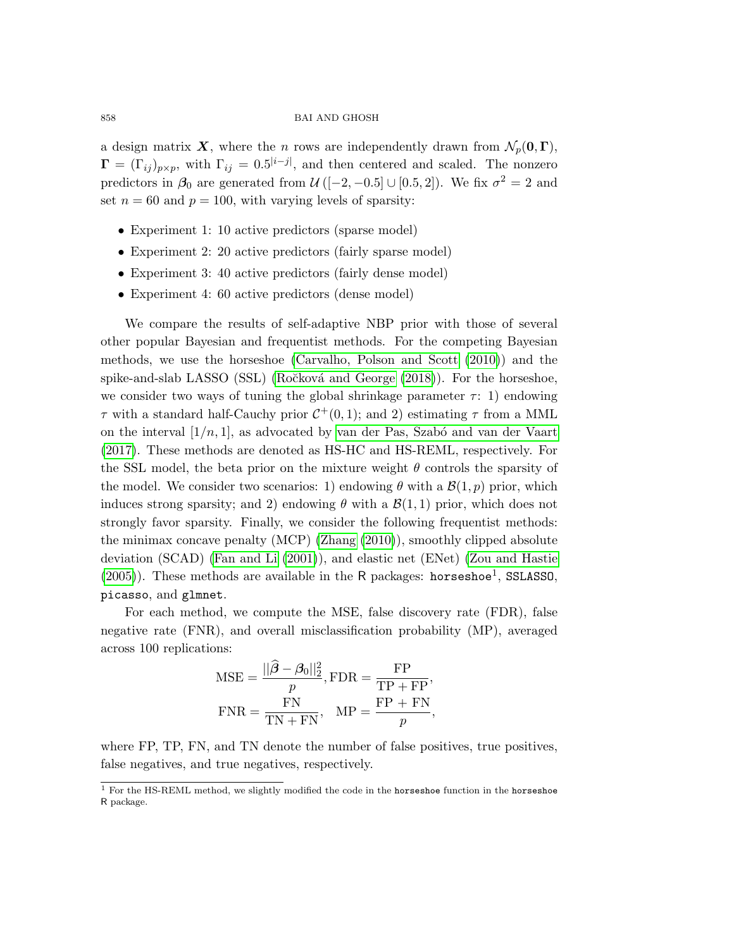a design matrix X, where the n rows are independently drawn from  $\mathcal{N}_p(\mathbf{0},\Gamma)$ ,  $\Gamma = (\Gamma_{ij})_{p \times p}$ , with  $\Gamma_{ij} = 0.5^{|i-j|}$ , and then centered and scaled. The nonzero predictors in  $\beta_0$  are generated from  $\mathcal{U}([-2, -0.5] \cup [0.5, 2])$ . We fix  $\sigma^2 = 2$  and set  $n = 60$  and  $p = 100$ , with varying levels of sparsity:

- Experiment 1: 10 active predictors (sparse model)
- Experiment 2: 20 active predictors (fairly sparse model)
- Experiment 3: 40 active predictors (fairly dense model)
- Experiment 4: 60 active predictors (dense model)

We compare the results of self-adaptive NBP prior with those of several other popular Bayesian and frequentist methods. For the competing Bayesian methods, we use the horseshoe [\(Carvalho, Polson and Scott \(2010\)](#page-20-5)) and the spike-and-slab LASSO (SSL) (Ročková and George  $(2018)$ ). For the horseshoe, we consider two ways of tuning the global shrinkage parameter  $\tau$ : 1) endowing  $\tau$  with a standard half-Cauchy prior  $C^+(0,1)$ ; and 2) estimating  $\tau$  from a MML on the interval  $[1/n, 1]$ , as advocated by van der Pas, Szabó and van der Vaart [\(2017\)](#page-21-15). These methods are denoted as HS-HC and HS-REML, respectively. For the SSL model, the beta prior on the mixture weight  $\theta$  controls the sparsity of the model. We consider two scenarios: 1) endowing  $\theta$  with a  $\mathcal{B}(1,p)$  prior, which induces strong sparsity; and 2) endowing  $\theta$  with a  $\mathcal{B}(1,1)$  prior, which does not strongly favor sparsity. Finally, we consider the following frequentist methods: the minimax concave penalty (MCP) [\(Zhang \(2010\)](#page-21-16)), smoothly clipped absolute deviation (SCAD) [\(Fan and Li \(2001\)](#page-20-19)), and elastic net (ENet) [\(Zou and Hastie](#page-21-6)  $(2005)$ ). These methods are available in the R packages: horseshoe<sup>1</sup>, SSLASS0, picasso, and glmnet.

For each method, we compute the MSE, false discovery rate (FDR), false negative rate (FNR), and overall misclassification probability (MP), averaged across 100 replications:

$$
MSE = \frac{||\hat{\beta} - \beta_0||_2^2}{p}, FDR = \frac{FP}{TP + FP},
$$
  
 
$$
FNR = \frac{FN}{TN + FN}, MP = \frac{FP + FN}{p},
$$

where FP, TP, FN, and TN denote the number of false positives, true positives, false negatives, and true negatives, respectively.

<sup>&</sup>lt;sup>1</sup> For the HS-REML method, we slightly modified the code in the horseshoe function in the horseshoe R package.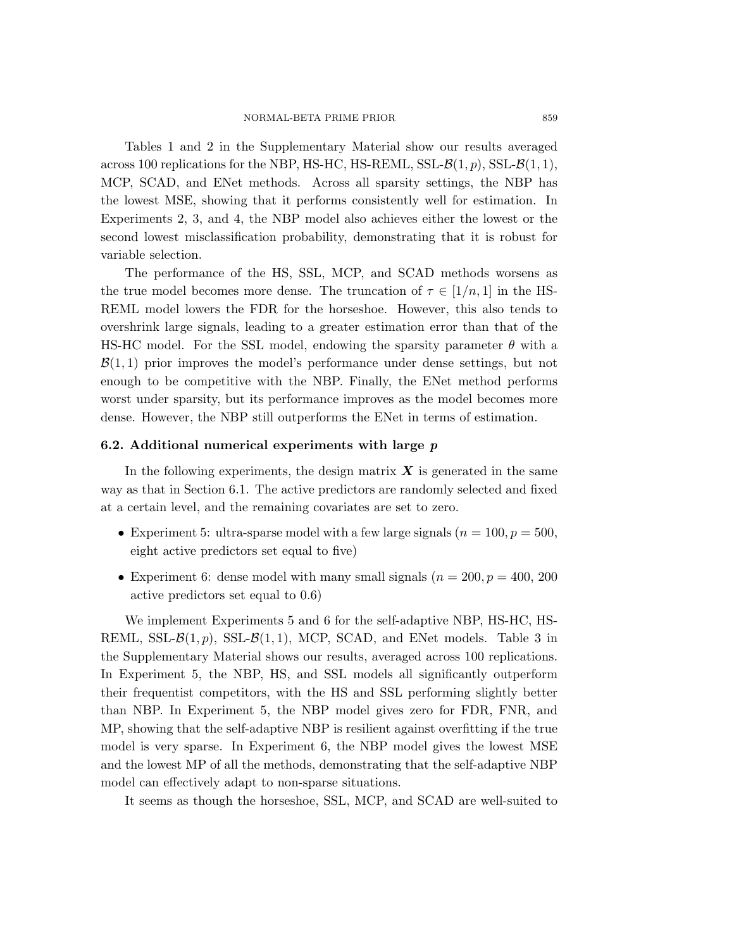Tables 1 and 2 in the Supplementary Material show our results averaged across 100 replications for the NBP, HS-HC, HS-REML, SSL- $\mathcal{B}(1, p)$ , SSL- $\mathcal{B}(1, 1)$ , MCP, SCAD, and ENet methods. Across all sparsity settings, the NBP has the lowest MSE, showing that it performs consistently well for estimation. In Experiments 2, 3, and 4, the NBP model also achieves either the lowest or the second lowest misclassification probability, demonstrating that it is robust for variable selection.

The performance of the HS, SSL, MCP, and SCAD methods worsens as the true model becomes more dense. The truncation of  $\tau \in [1/n, 1]$  in the HS-REML model lowers the FDR for the horseshoe. However, this also tends to overshrink large signals, leading to a greater estimation error than that of the HS-HC model. For the SSL model, endowing the sparsity parameter  $\theta$  with a  $\mathcal{B}(1,1)$  prior improves the model's performance under dense settings, but not enough to be competitive with the NBP. Finally, the ENet method performs worst under sparsity, but its performance improves as the model becomes more dense. However, the NBP still outperforms the ENet in terms of estimation.

## 6.2. Additional numerical experiments with large  $p$

In the following experiments, the design matrix  $\boldsymbol{X}$  is generated in the same way as that in Section 6.1. The active predictors are randomly selected and fixed at a certain level, and the remaining covariates are set to zero.

- Experiment 5: ultra-sparse model with a few large signals ( $n = 100, p = 500$ , eight active predictors set equal to five)
- Experiment 6: dense model with many small signals  $(n = 200, p = 400, 200)$ active predictors set equal to 0.6)

We implement Experiments 5 and 6 for the self-adaptive NBP, HS-HC, HS-REML, SSL- $\mathcal{B}(1, p)$ , SSL- $\mathcal{B}(1, 1)$ , MCP, SCAD, and ENet models. Table 3 in the Supplementary Material shows our results, averaged across 100 replications. In Experiment 5, the NBP, HS, and SSL models all significantly outperform their frequentist competitors, with the HS and SSL performing slightly better than NBP. In Experiment 5, the NBP model gives zero for FDR, FNR, and MP, showing that the self-adaptive NBP is resilient against overfitting if the true model is very sparse. In Experiment 6, the NBP model gives the lowest MSE and the lowest MP of all the methods, demonstrating that the self-adaptive NBP model can effectively adapt to non-sparse situations.

It seems as though the horseshoe, SSL, MCP, and SCAD are well-suited to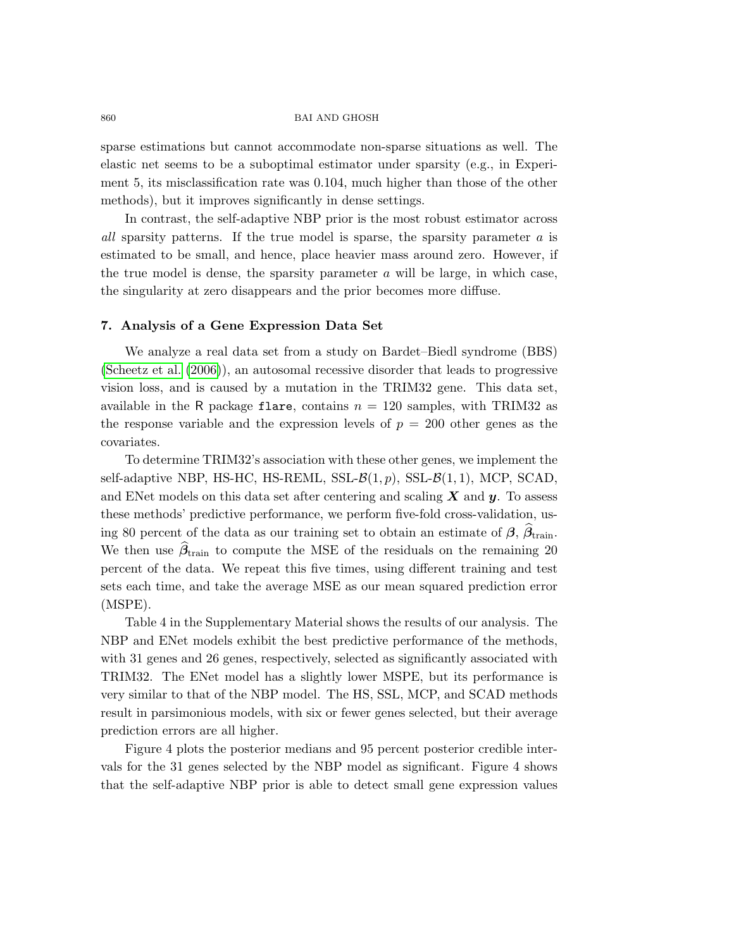sparse estimations but cannot accommodate non-sparse situations as well. The elastic net seems to be a suboptimal estimator under sparsity (e.g., in Experiment 5, its misclassification rate was 0.104, much higher than those of the other methods), but it improves significantly in dense settings.

In contrast, the self-adaptive NBP prior is the most robust estimator across all sparsity patterns. If the true model is sparse, the sparsity parameter a is estimated to be small, and hence, place heavier mass around zero. However, if the true model is dense, the sparsity parameter  $a$  will be large, in which case, the singularity at zero disappears and the prior becomes more diffuse.

## 7. Analysis of a Gene Expression Data Set

We analyze a real data set from a study on Bardet–Biedl syndrome (BBS) [\(Scheetz et al. \(2006\)](#page-21-17)), an autosomal recessive disorder that leads to progressive vision loss, and is caused by a mutation in the TRIM32 gene. This data set, available in the R package flare, contains  $n = 120$  samples, with TRIM32 as the response variable and the expression levels of  $p = 200$  other genes as the covariates.

To determine TRIM32's association with these other genes, we implement the self-adaptive NBP, HS-HC, HS-REML, SSL- $\mathcal{B}(1,p)$ , SSL- $\mathcal{B}(1,1)$ , MCP, SCAD, and ENet models on this data set after centering and scaling  $X$  and  $y$ . To assess these methods' predictive performance, we perform five-fold cross-validation, using 80 percent of the data as our training set to obtain an estimate of  $\beta$ ,  $\beta$ <sub>train</sub>. We then use  $\hat{\beta}_{\text{train}}$  to compute the MSE of the residuals on the remaining 20 percent of the data. We repeat this five times, using different training and test sets each time, and take the average MSE as our mean squared prediction error (MSPE).

Table 4 in the Supplementary Material shows the results of our analysis. The NBP and ENet models exhibit the best predictive performance of the methods, with 31 genes and 26 genes, respectively, selected as significantly associated with TRIM32. The ENet model has a slightly lower MSPE, but its performance is very similar to that of the NBP model. The HS, SSL, MCP, and SCAD methods result in parsimonious models, with six or fewer genes selected, but their average prediction errors are all higher.

Figure 4 plots the posterior medians and 95 percent posterior credible intervals for the 31 genes selected by the NBP model as significant. Figure 4 shows that the self-adaptive NBP prior is able to detect small gene expression values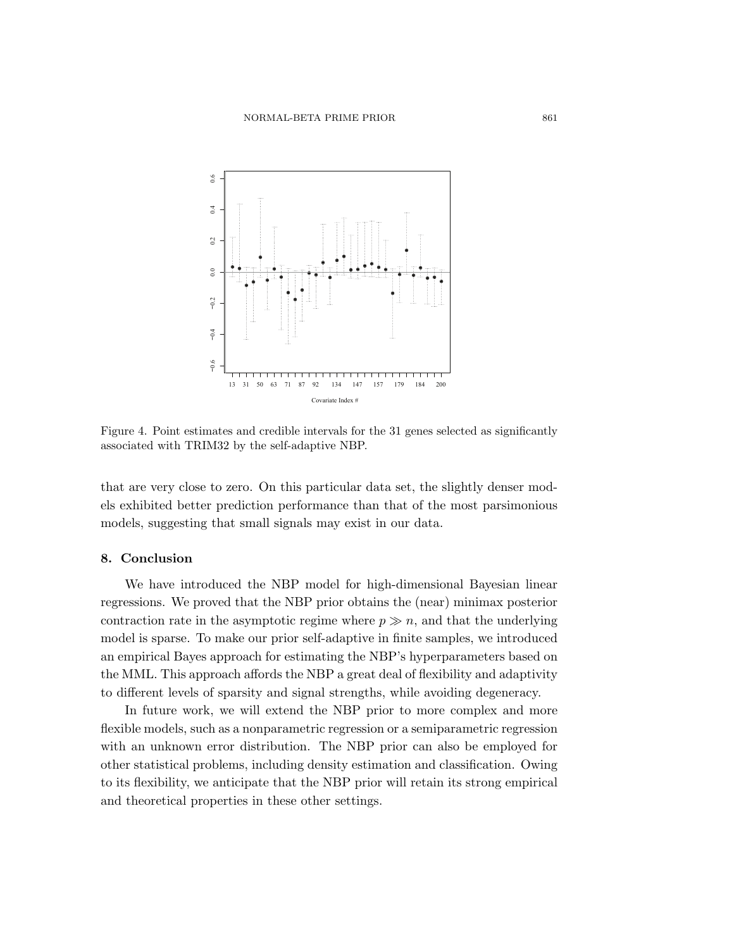

Figure 4. Point estimates and credible intervals for the 31 genes selected as significantly associated with TRIM32 by the self-adaptive NBP.

that are very close to zero. On this particular data set, the slightly denser models exhibited better prediction performance than that of the most parsimonious models, suggesting that small signals may exist in our data.

#### 8. Conclusion

We have introduced the NBP model for high-dimensional Bayesian linear regressions. We proved that the NBP prior obtains the (near) minimax posterior contraction rate in the asymptotic regime where  $p \gg n$ , and that the underlying model is sparse. To make our prior self-adaptive in finite samples, we introduced an empirical Bayes approach for estimating the NBP's hyperparameters based on the MML. This approach affords the NBP a great deal of flexibility and adaptivity to different levels of sparsity and signal strengths, while avoiding degeneracy.

In future work, we will extend the NBP prior to more complex and more flexible models, such as a nonparametric regression or a semiparametric regression with an unknown error distribution. The NBP prior can also be employed for other statistical problems, including density estimation and classification. Owing to its flexibility, we anticipate that the NBP prior will retain its strong empirical and theoretical properties in these other settings.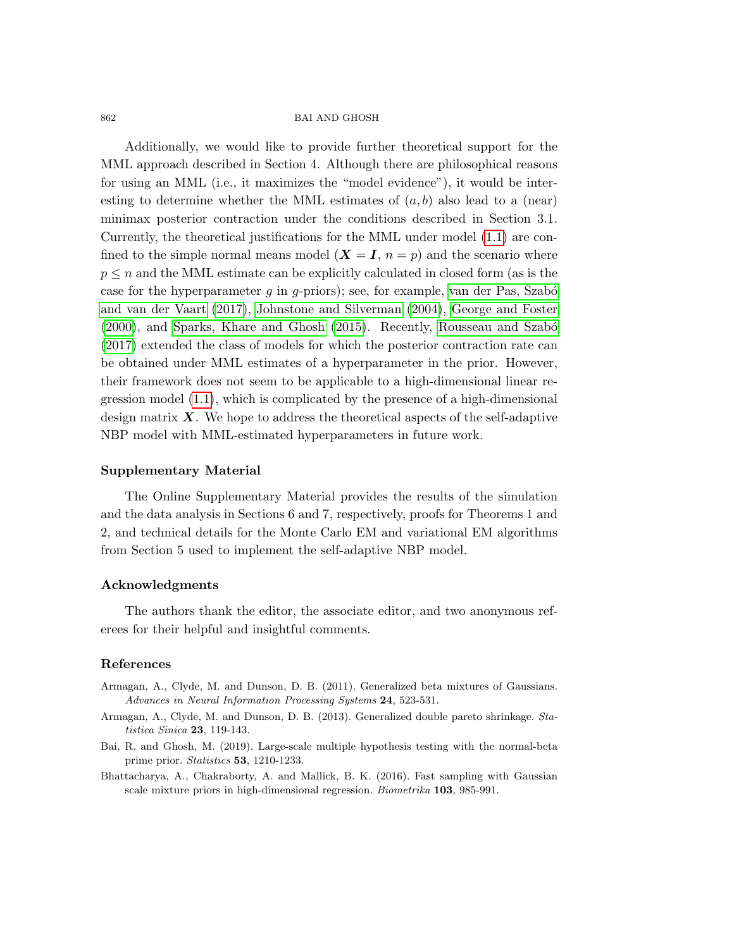Additionally, we would like to provide further theoretical support for the MML approach described in Section 4. Although there are philosophical reasons for using an MML (i.e., it maximizes the "model evidence"), it would be interesting to determine whether the MML estimates of  $(a, b)$  also lead to a (near) minimax posterior contraction under the conditions described in Section 3.1. Currently, the theoretical justifications for the MML under model [\(1.1\)](#page-0-0) are confined to the simple normal means model  $(X = I, n = p)$  and the scenario where  $p \leq n$  and the MML estimate can be explicitly calculated in closed form (as is the case for the hyperparameter  $g$  in  $g$ -priors); see, for example, van der Pas, Szabó [and van der Vaart \(2017\)](#page-21-15), [Johnstone and Silverman \(2004\)](#page-20-20), [George and Foster](#page-20-14) [\(2000\)](#page-20-14), and [Sparks, Khare and Ghosh \(2015\)](#page-21-18). Recently, [Rousseau and Szab´o](#page-21-19) [\(2017\)](#page-21-19) extended the class of models for which the posterior contraction rate can be obtained under MML estimates of a hyperparameter in the prior. However, their framework does not seem to be applicable to a high-dimensional linear regression model [\(1.1\)](#page-0-0), which is complicated by the presence of a high-dimensional design matrix  $\boldsymbol{X}$ . We hope to address the theoretical aspects of the self-adaptive NBP model with MML-estimated hyperparameters in future work.

## Supplementary Material

The Online Supplementary Material provides the results of the simulation and the data analysis in Sections 6 and 7, respectively, proofs for Theorems 1 and 2, and technical details for the Monte Carlo EM and variational EM algorithms from Section 5 used to implement the self-adaptive NBP model.

# Acknowledgments

The authors thank the editor, the associate editor, and two anonymous referees for their helpful and insightful comments.

# References

- <span id="page-19-0"></span>Armagan, A., Clyde, M. and Dunson, D. B. (2011). Generalized beta mixtures of Gaussians. Advances in Neural Information Processing Systems 24, 523-531.
- <span id="page-19-1"></span>Armagan, A., Clyde, M. and Dunson, D. B. (2013). Generalized double pareto shrinkage. Statistica Sinica 23, 119-143.
- <span id="page-19-3"></span>Bai, R. and Ghosh, M. (2019). Large-scale multiple hypothesis testing with the normal-beta prime prior. Statistics 53, 1210-1233.
- <span id="page-19-2"></span>Bhattacharya, A., Chakraborty, A. and Mallick, B. K. (2016). Fast sampling with Gaussian scale mixture priors in high-dimensional regression. Biometrika 103, 985-991.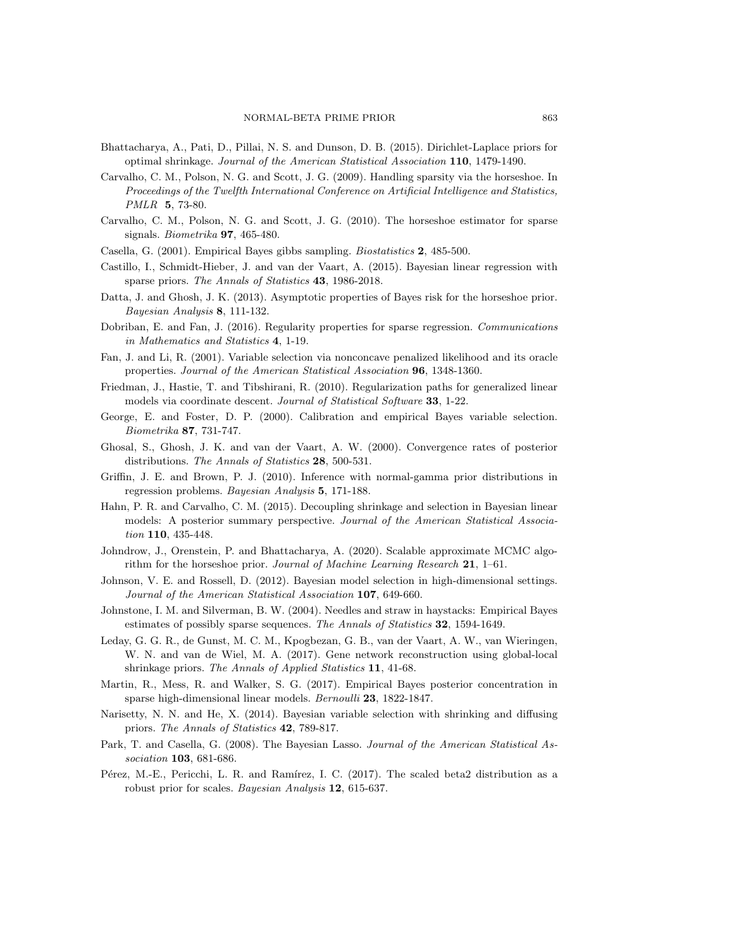- <span id="page-20-7"></span>Bhattacharya, A., Pati, D., Pillai, N. S. and Dunson, D. B. (2015). Dirichlet-Laplace priors for optimal shrinkage. Journal of the American Statistical Association 110, 1479-1490.
- <span id="page-20-15"></span>Carvalho, C. M., Polson, N. G. and Scott, J. G. (2009). Handling sparsity via the horseshoe. In Proceedings of the Twelfth International Conference on Artificial Intelligence and Statistics, PMLR 5, 73-80.
- <span id="page-20-5"></span>Carvalho, C. M., Polson, N. G. and Scott, J. G. (2010). The horseshoe estimator for sparse signals. Biometrika 97, 465-480.
- <span id="page-20-12"></span>Casella, G. (2001). Empirical Bayes gibbs sampling. Biostatistics 2, 485-500.
- <span id="page-20-1"></span>Castillo, I., Schmidt-Hieber, J. and van der Vaart, A. (2015). Bayesian linear regression with sparse priors. The Annals of Statistics 43, 1986-2018.
- <span id="page-20-16"></span>Datta, J. and Ghosh, J. K. (2013). Asymptotic properties of Bayes risk for the horseshoe prior. Bayesian Analysis 8, 111-132.
- <span id="page-20-11"></span>Dobriban, E. and Fan, J. (2016). Regularity properties for sparse regression. Communications in Mathematics and Statistics 4, 1-19.
- <span id="page-20-19"></span>Fan, J. and Li, R. (2001). Variable selection via nonconcave penalized likelihood and its oracle properties. Journal of the American Statistical Association 96, 1348-1360.
- <span id="page-20-18"></span>Friedman, J., Hastie, T. and Tibshirani, R. (2010). Regularization paths for generalized linear models via coordinate descent. Journal of Statistical Software 33, 1-22.
- <span id="page-20-14"></span>George, E. and Foster, D. P. (2000). Calibration and empirical Bayes variable selection. Biometrika 87, 731-747.
- <span id="page-20-10"></span>Ghosal, S., Ghosh, J. K. and van der Vaart, A. W. (2000). Convergence rates of posterior distributions. The Annals of Statistics 28, 500-531.
- <span id="page-20-6"></span>Griffin, J. E. and Brown, P. J. (2010). Inference with normal-gamma prior distributions in regression problems. Bayesian Analysis 5, 171-188.
- <span id="page-20-17"></span>Hahn, P. R. and Carvalho, C. M. (2015). Decoupling shrinkage and selection in Bayesian linear models: A posterior summary perspective. Journal of the American Statistical Association 110, 435-448.
- <span id="page-20-8"></span>Johndrow, J., Orenstein, P. and Bhattacharya, A. (2020). Scalable approximate MCMC algorithm for the horseshoe prior. Journal of Machine Learning Research 21, 1–61.
- <span id="page-20-3"></span>Johnson, V. E. and Rossell, D. (2012). Bayesian model selection in high-dimensional settings. Journal of the American Statistical Association 107, 649-660.
- <span id="page-20-20"></span>Johnstone, I. M. and Silverman, B. W. (2004). Needles and straw in haystacks: Empirical Bayes estimates of possibly sparse sequences. The Annals of Statistics 32, 1594-1649.
- <span id="page-20-13"></span>Leday, G. G. R., de Gunst, M. C. M., Kpogbezan, G. B., van der Vaart, A. W., van Wieringen, W. N. and van de Wiel, M. A. (2017). Gene network reconstruction using global-local shrinkage priors. The Annals of Applied Statistics 11, 41-68.
- <span id="page-20-0"></span>Martin, R., Mess, R. and Walker, S. G. (2017). Empirical Bayes posterior concentration in sparse high-dimensional linear models. Bernoulli 23, 1822-1847.
- <span id="page-20-2"></span>Narisetty, N. N. and He, X. (2014). Bayesian variable selection with shrinking and diffusing priors. The Annals of Statistics 42, 789-817.
- <span id="page-20-4"></span>Park, T. and Casella, G. (2008). The Bayesian Lasso. Journal of the American Statistical Association 103, 681-686.
- <span id="page-20-9"></span>Pérez, M.-E., Pericchi, L. R. and Ramírez, I. C. (2017). The scaled beta2 distribution as a robust prior for scales. Bayesian Analysis 12, 615-637.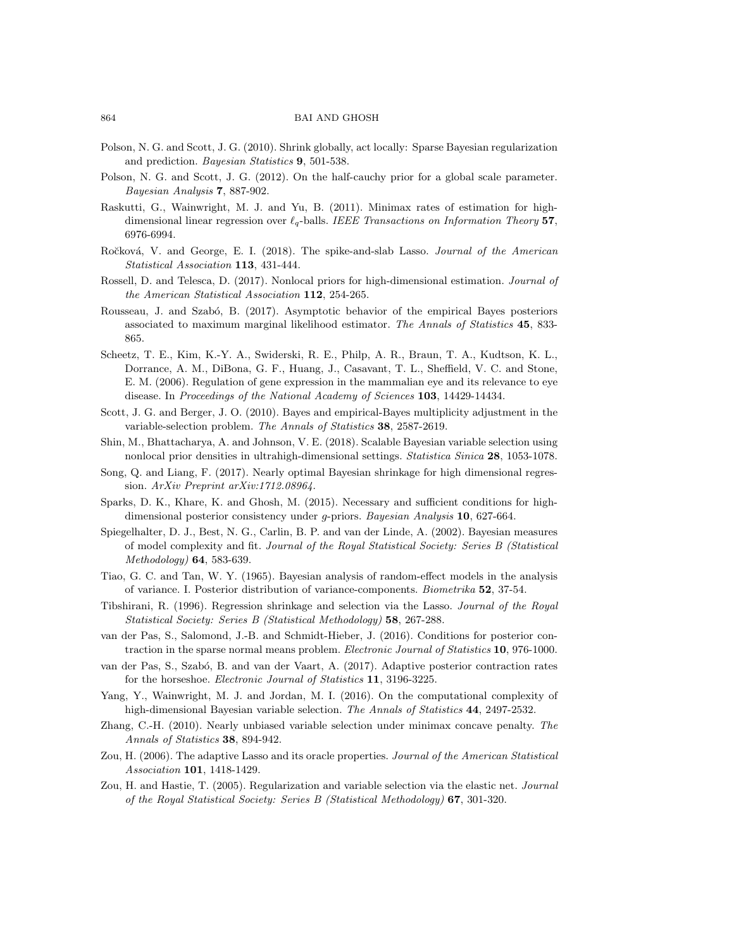- <span id="page-21-12"></span>Polson, N. G. and Scott, J. G. (2010). Shrink globally, act locally: Sparse Bayesian regularization and prediction. Bayesian Statistics 9, 501-538.
- <span id="page-21-9"></span>Polson, N. G. and Scott, J. G. (2012). On the half-cauchy prior for a global scale parameter. Bayesian Analysis 7, 887-902.
- <span id="page-21-10"></span>Raskutti, G., Wainwright, M. J. and Yu, B. (2011). Minimax rates of estimation for highdimensional linear regression over  $\ell_q$ -balls. IEEE Transactions on Information Theory 57, 6976-6994.
- <span id="page-21-1"></span>Ročková, V. and George, E. I. (2018). The spike-and-slab Lasso. Journal of the American Statistical Association 113, 431-444.
- <span id="page-21-2"></span>Rossell, D. and Telesca, D. (2017). Nonlocal priors for high-dimensional estimation. Journal of the American Statistical Association 112, 254-265.
- <span id="page-21-19"></span>Rousseau, J. and Szabó, B. (2017). Asymptotic behavior of the empirical Bayes posteriors associated to maximum marginal likelihood estimator. The Annals of Statistics 45, 833- 865.
- <span id="page-21-17"></span>Scheetz, T. E., Kim, K.-Y. A., Swiderski, R. E., Philp, A. R., Braun, T. A., Kudtson, K. L., Dorrance, A. M., DiBona, G. F., Huang, J., Casavant, T. L., Sheffield, V. C. and Stone, E. M. (2006). Regulation of gene expression in the mammalian eye and its relevance to eye disease. In Proceedings of the National Academy of Sciences 103, 14429-14434.
- <span id="page-21-14"></span>Scott, J. G. and Berger, J. O. (2010). Bayes and empirical-Bayes multiplicity adjustment in the variable-selection problem. The Annals of Statistics 38, 2587-2619.
- <span id="page-21-3"></span>Shin, M., Bhattacharya, A. and Johnson, V. E. (2018). Scalable Bayesian variable selection using nonlocal prior densities in ultrahigh-dimensional settings. Statistica Sinica 28, 1053-1078.
- <span id="page-21-5"></span>Song, Q. and Liang, F. (2017). Nearly optimal Bayesian shrinkage for high dimensional regression. ArXiv Preprint arXiv:1712.08964.
- <span id="page-21-18"></span>Sparks, D. K., Khare, K. and Ghosh, M. (2015). Necessary and sufficient conditions for highdimensional posterior consistency under *g*-priors. Bayesian Analysis **10**, 627-664.
- <span id="page-21-8"></span>Spiegelhalter, D. J., Best, N. G., Carlin, B. P. and van der Linde, A. (2002). Bayesian measures of model complexity and fit. Journal of the Royal Statistical Society: Series B (Statistical Methodology) 64, 583-639.
- <span id="page-21-13"></span>Tiao, G. C. and Tan, W. Y. (1965). Bayesian analysis of random-effect models in the analysis of variance. I. Posterior distribution of variance-components. Biometrika 52, 37-54.
- <span id="page-21-7"></span>Tibshirani, R. (1996). Regression shrinkage and selection via the Lasso. Journal of the Royal Statistical Society: Series B (Statistical Methodology) 58, 267-288.
- <span id="page-21-4"></span>van der Pas, S., Salomond, J.-B. and Schmidt-Hieber, J. (2016). Conditions for posterior contraction in the sparse normal means problem. *Electronic Journal of Statistics* 10, 976-1000.
- <span id="page-21-15"></span>van der Pas, S., Szab´o, B. and van der Vaart, A. (2017). Adaptive posterior contraction rates for the horseshoe. Electronic Journal of Statistics 11, 3196-3225.
- <span id="page-21-0"></span>Yang, Y., Wainwright, M. J. and Jordan, M. I. (2016). On the computational complexity of high-dimensional Bayesian variable selection. The Annals of Statistics 44, 2497-2532.
- <span id="page-21-16"></span>Zhang, C.-H. (2010). Nearly unbiased variable selection under minimax concave penalty. The Annals of Statistics 38, 894-942.
- <span id="page-21-11"></span>Zou, H. (2006). The adaptive Lasso and its oracle properties. Journal of the American Statistical Association 101, 1418-1429.
- <span id="page-21-6"></span>Zou, H. and Hastie, T. (2005). Regularization and variable selection via the elastic net. Journal of the Royal Statistical Society: Series B (Statistical Methodology) 67, 301-320.